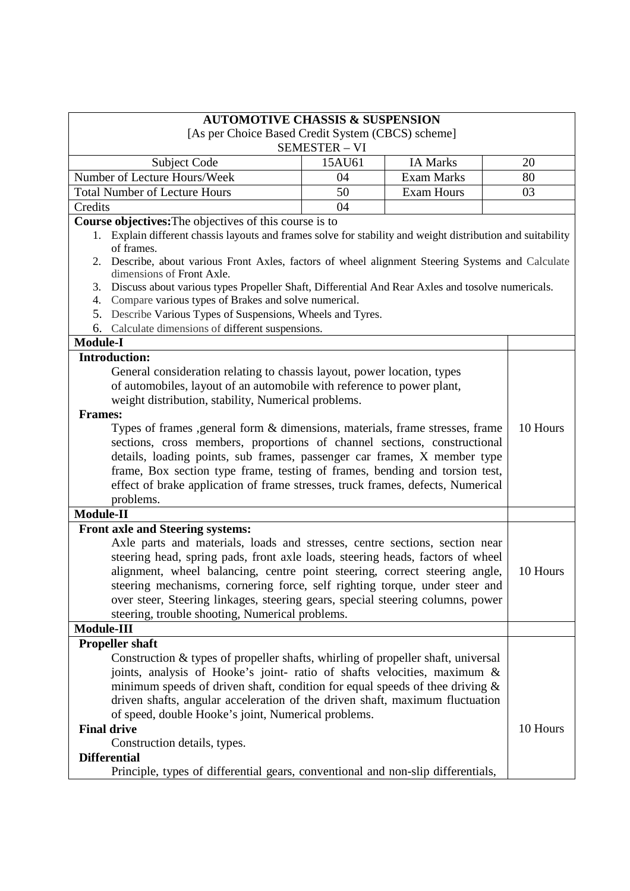| [As per Choice Based Credit System (CBCS) scheme]<br><b>SEMESTER - VI</b><br><b>IA Marks</b><br>15AU61<br>Subject Code<br>20<br>Number of Lecture Hours/Week<br><b>Exam Marks</b><br>80<br>04<br><b>Total Number of Lecture Hours</b><br><b>Exam Hours</b><br>50<br>03<br>Credits<br>04<br>Course objectives: The objectives of this course is to<br>1. Explain different chassis layouts and frames solve for stability and weight distribution and suitability<br>of frames.<br>Describe, about various Front Axles, factors of wheel alignment Steering Systems and Calculate<br>2.<br>dimensions of Front Axle.<br>Discuss about various types Propeller Shaft, Differential And Rear Axles and tosolve numericals.<br>3.<br>Compare various types of Brakes and solve numerical.<br>4.<br>Describe Various Types of Suspensions, Wheels and Tyres.<br>5.<br>Calculate dimensions of different suspensions.<br>6.<br>$Module-I$<br><b>Introduction:</b> | <b>AUTOMOTIVE CHASSIS &amp; SUSPENSION</b>                                  |  |  |  |
|-------------------------------------------------------------------------------------------------------------------------------------------------------------------------------------------------------------------------------------------------------------------------------------------------------------------------------------------------------------------------------------------------------------------------------------------------------------------------------------------------------------------------------------------------------------------------------------------------------------------------------------------------------------------------------------------------------------------------------------------------------------------------------------------------------------------------------------------------------------------------------------------------------------------------------------------------------------|-----------------------------------------------------------------------------|--|--|--|
|                                                                                                                                                                                                                                                                                                                                                                                                                                                                                                                                                                                                                                                                                                                                                                                                                                                                                                                                                             |                                                                             |  |  |  |
|                                                                                                                                                                                                                                                                                                                                                                                                                                                                                                                                                                                                                                                                                                                                                                                                                                                                                                                                                             |                                                                             |  |  |  |
|                                                                                                                                                                                                                                                                                                                                                                                                                                                                                                                                                                                                                                                                                                                                                                                                                                                                                                                                                             |                                                                             |  |  |  |
|                                                                                                                                                                                                                                                                                                                                                                                                                                                                                                                                                                                                                                                                                                                                                                                                                                                                                                                                                             |                                                                             |  |  |  |
|                                                                                                                                                                                                                                                                                                                                                                                                                                                                                                                                                                                                                                                                                                                                                                                                                                                                                                                                                             |                                                                             |  |  |  |
|                                                                                                                                                                                                                                                                                                                                                                                                                                                                                                                                                                                                                                                                                                                                                                                                                                                                                                                                                             |                                                                             |  |  |  |
|                                                                                                                                                                                                                                                                                                                                                                                                                                                                                                                                                                                                                                                                                                                                                                                                                                                                                                                                                             |                                                                             |  |  |  |
|                                                                                                                                                                                                                                                                                                                                                                                                                                                                                                                                                                                                                                                                                                                                                                                                                                                                                                                                                             |                                                                             |  |  |  |
|                                                                                                                                                                                                                                                                                                                                                                                                                                                                                                                                                                                                                                                                                                                                                                                                                                                                                                                                                             |                                                                             |  |  |  |
|                                                                                                                                                                                                                                                                                                                                                                                                                                                                                                                                                                                                                                                                                                                                                                                                                                                                                                                                                             |                                                                             |  |  |  |
|                                                                                                                                                                                                                                                                                                                                                                                                                                                                                                                                                                                                                                                                                                                                                                                                                                                                                                                                                             |                                                                             |  |  |  |
|                                                                                                                                                                                                                                                                                                                                                                                                                                                                                                                                                                                                                                                                                                                                                                                                                                                                                                                                                             |                                                                             |  |  |  |
|                                                                                                                                                                                                                                                                                                                                                                                                                                                                                                                                                                                                                                                                                                                                                                                                                                                                                                                                                             |                                                                             |  |  |  |
|                                                                                                                                                                                                                                                                                                                                                                                                                                                                                                                                                                                                                                                                                                                                                                                                                                                                                                                                                             |                                                                             |  |  |  |
|                                                                                                                                                                                                                                                                                                                                                                                                                                                                                                                                                                                                                                                                                                                                                                                                                                                                                                                                                             |                                                                             |  |  |  |
| General consideration relating to chassis layout, power location, types                                                                                                                                                                                                                                                                                                                                                                                                                                                                                                                                                                                                                                                                                                                                                                                                                                                                                     |                                                                             |  |  |  |
| of automobiles, layout of an automobile with reference to power plant,                                                                                                                                                                                                                                                                                                                                                                                                                                                                                                                                                                                                                                                                                                                                                                                                                                                                                      |                                                                             |  |  |  |
| weight distribution, stability, Numerical problems.                                                                                                                                                                                                                                                                                                                                                                                                                                                                                                                                                                                                                                                                                                                                                                                                                                                                                                         |                                                                             |  |  |  |
| <b>Frames:</b>                                                                                                                                                                                                                                                                                                                                                                                                                                                                                                                                                                                                                                                                                                                                                                                                                                                                                                                                              |                                                                             |  |  |  |
| Types of frames ,general form & dimensions, materials, frame stresses, frame<br>10 Hours                                                                                                                                                                                                                                                                                                                                                                                                                                                                                                                                                                                                                                                                                                                                                                                                                                                                    |                                                                             |  |  |  |
| sections, cross members, proportions of channel sections, constructional                                                                                                                                                                                                                                                                                                                                                                                                                                                                                                                                                                                                                                                                                                                                                                                                                                                                                    |                                                                             |  |  |  |
| details, loading points, sub frames, passenger car frames, X member type                                                                                                                                                                                                                                                                                                                                                                                                                                                                                                                                                                                                                                                                                                                                                                                                                                                                                    |                                                                             |  |  |  |
|                                                                                                                                                                                                                                                                                                                                                                                                                                                                                                                                                                                                                                                                                                                                                                                                                                                                                                                                                             | frame, Box section type frame, testing of frames, bending and torsion test, |  |  |  |
| effect of brake application of frame stresses, truck frames, defects, Numerical                                                                                                                                                                                                                                                                                                                                                                                                                                                                                                                                                                                                                                                                                                                                                                                                                                                                             |                                                                             |  |  |  |
| problems.<br>Module-II                                                                                                                                                                                                                                                                                                                                                                                                                                                                                                                                                                                                                                                                                                                                                                                                                                                                                                                                      |                                                                             |  |  |  |
|                                                                                                                                                                                                                                                                                                                                                                                                                                                                                                                                                                                                                                                                                                                                                                                                                                                                                                                                                             |                                                                             |  |  |  |
| <b>Front axle and Steering systems:</b>                                                                                                                                                                                                                                                                                                                                                                                                                                                                                                                                                                                                                                                                                                                                                                                                                                                                                                                     |                                                                             |  |  |  |
| Axle parts and materials, loads and stresses, centre sections, section near                                                                                                                                                                                                                                                                                                                                                                                                                                                                                                                                                                                                                                                                                                                                                                                                                                                                                 |                                                                             |  |  |  |
| steering head, spring pads, front axle loads, steering heads, factors of wheel                                                                                                                                                                                                                                                                                                                                                                                                                                                                                                                                                                                                                                                                                                                                                                                                                                                                              |                                                                             |  |  |  |
| alignment, wheel balancing, centre point steering, correct steering angle,<br>10 Hours                                                                                                                                                                                                                                                                                                                                                                                                                                                                                                                                                                                                                                                                                                                                                                                                                                                                      |                                                                             |  |  |  |
| steering mechanisms, cornering force, self righting torque, under steer and                                                                                                                                                                                                                                                                                                                                                                                                                                                                                                                                                                                                                                                                                                                                                                                                                                                                                 |                                                                             |  |  |  |
| over steer, Steering linkages, steering gears, special steering columns, power                                                                                                                                                                                                                                                                                                                                                                                                                                                                                                                                                                                                                                                                                                                                                                                                                                                                              |                                                                             |  |  |  |
| steering, trouble shooting, Numerical problems.                                                                                                                                                                                                                                                                                                                                                                                                                                                                                                                                                                                                                                                                                                                                                                                                                                                                                                             |                                                                             |  |  |  |
| Module-III                                                                                                                                                                                                                                                                                                                                                                                                                                                                                                                                                                                                                                                                                                                                                                                                                                                                                                                                                  |                                                                             |  |  |  |
| <b>Propeller shaft</b>                                                                                                                                                                                                                                                                                                                                                                                                                                                                                                                                                                                                                                                                                                                                                                                                                                                                                                                                      |                                                                             |  |  |  |
| Construction & types of propeller shafts, whirling of propeller shaft, universal                                                                                                                                                                                                                                                                                                                                                                                                                                                                                                                                                                                                                                                                                                                                                                                                                                                                            |                                                                             |  |  |  |
| joints, analysis of Hooke's joint- ratio of shafts velocities, maximum &                                                                                                                                                                                                                                                                                                                                                                                                                                                                                                                                                                                                                                                                                                                                                                                                                                                                                    |                                                                             |  |  |  |
| minimum speeds of driven shaft, condition for equal speeds of thee driving $\&$                                                                                                                                                                                                                                                                                                                                                                                                                                                                                                                                                                                                                                                                                                                                                                                                                                                                             |                                                                             |  |  |  |
| driven shafts, angular acceleration of the driven shaft, maximum fluctuation                                                                                                                                                                                                                                                                                                                                                                                                                                                                                                                                                                                                                                                                                                                                                                                                                                                                                |                                                                             |  |  |  |
| of speed, double Hooke's joint, Numerical problems.<br><b>Final drive</b><br>10 Hours                                                                                                                                                                                                                                                                                                                                                                                                                                                                                                                                                                                                                                                                                                                                                                                                                                                                       |                                                                             |  |  |  |
| Construction details, types.                                                                                                                                                                                                                                                                                                                                                                                                                                                                                                                                                                                                                                                                                                                                                                                                                                                                                                                                |                                                                             |  |  |  |
| <b>Differential</b>                                                                                                                                                                                                                                                                                                                                                                                                                                                                                                                                                                                                                                                                                                                                                                                                                                                                                                                                         |                                                                             |  |  |  |
| Principle, types of differential gears, conventional and non-slip differentials,                                                                                                                                                                                                                                                                                                                                                                                                                                                                                                                                                                                                                                                                                                                                                                                                                                                                            |                                                                             |  |  |  |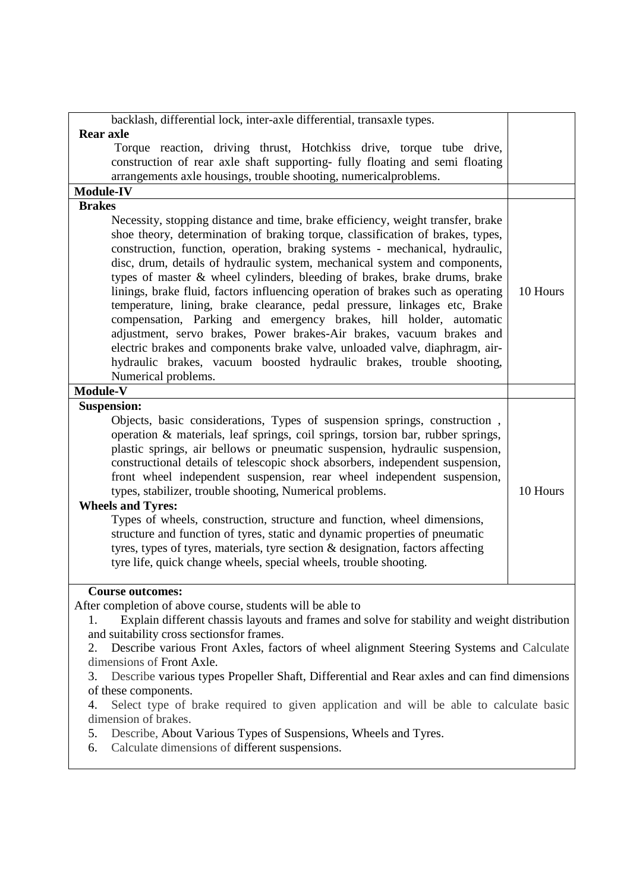| backlash, differential lock, inter-axle differential, transaxle types.                                                                                                                                                                                                                                                                                                                                                                                                                                                                                                                                                                                                                                                                                                                                                                                                                                  |          |
|---------------------------------------------------------------------------------------------------------------------------------------------------------------------------------------------------------------------------------------------------------------------------------------------------------------------------------------------------------------------------------------------------------------------------------------------------------------------------------------------------------------------------------------------------------------------------------------------------------------------------------------------------------------------------------------------------------------------------------------------------------------------------------------------------------------------------------------------------------------------------------------------------------|----------|
| <b>Rear axle</b>                                                                                                                                                                                                                                                                                                                                                                                                                                                                                                                                                                                                                                                                                                                                                                                                                                                                                        |          |
| Torque reaction, driving thrust, Hotchkiss drive, torque tube drive,                                                                                                                                                                                                                                                                                                                                                                                                                                                                                                                                                                                                                                                                                                                                                                                                                                    |          |
| construction of rear axle shaft supporting- fully floating and semi floating                                                                                                                                                                                                                                                                                                                                                                                                                                                                                                                                                                                                                                                                                                                                                                                                                            |          |
| arrangements axle housings, trouble shooting, numericalproblems.                                                                                                                                                                                                                                                                                                                                                                                                                                                                                                                                                                                                                                                                                                                                                                                                                                        |          |
| <b>Module-IV</b>                                                                                                                                                                                                                                                                                                                                                                                                                                                                                                                                                                                                                                                                                                                                                                                                                                                                                        |          |
| <b>Brakes</b>                                                                                                                                                                                                                                                                                                                                                                                                                                                                                                                                                                                                                                                                                                                                                                                                                                                                                           |          |
| Necessity, stopping distance and time, brake efficiency, weight transfer, brake<br>shoe theory, determination of braking torque, classification of brakes, types,<br>construction, function, operation, braking systems - mechanical, hydraulic,<br>disc, drum, details of hydraulic system, mechanical system and components,<br>types of master & wheel cylinders, bleeding of brakes, brake drums, brake<br>linings, brake fluid, factors influencing operation of brakes such as operating<br>temperature, lining, brake clearance, pedal pressure, linkages etc, Brake<br>compensation, Parking and emergency brakes, hill holder, automatic<br>adjustment, servo brakes, Power brakes-Air brakes, vacuum brakes and<br>electric brakes and components brake valve, unloaded valve, diaphragm, air-<br>hydraulic brakes, vacuum boosted hydraulic brakes, trouble shooting,<br>Numerical problems. | 10 Hours |
| Module-V                                                                                                                                                                                                                                                                                                                                                                                                                                                                                                                                                                                                                                                                                                                                                                                                                                                                                                |          |
| <b>Suspension:</b>                                                                                                                                                                                                                                                                                                                                                                                                                                                                                                                                                                                                                                                                                                                                                                                                                                                                                      |          |
| Objects, basic considerations, Types of suspension springs, construction,<br>operation & materials, leaf springs, coil springs, torsion bar, rubber springs,<br>plastic springs, air bellows or pneumatic suspension, hydraulic suspension,<br>constructional details of telescopic shock absorbers, independent suspension,<br>front wheel independent suspension, rear wheel independent suspension,<br>types, stabilizer, trouble shooting, Numerical problems.<br><b>Wheels and Tyres:</b><br>Types of wheels, construction, structure and function, wheel dimensions,<br>structure and function of tyres, static and dynamic properties of pneumatic<br>tyres, types of tyres, materials, tyre section & designation, factors affecting<br>tyre life, quick change wheels, special wheels, trouble shooting.                                                                                       | 10 Hours |
| <b>Course outcomes:</b>                                                                                                                                                                                                                                                                                                                                                                                                                                                                                                                                                                                                                                                                                                                                                                                                                                                                                 |          |
| After completion of above course, students will be able to                                                                                                                                                                                                                                                                                                                                                                                                                                                                                                                                                                                                                                                                                                                                                                                                                                              |          |
| Explain different chassis layouts and frames and solve for stability and weight distribution<br>1.                                                                                                                                                                                                                                                                                                                                                                                                                                                                                                                                                                                                                                                                                                                                                                                                      |          |
| and suitability cross sectionsfor frames.                                                                                                                                                                                                                                                                                                                                                                                                                                                                                                                                                                                                                                                                                                                                                                                                                                                               |          |
| Describe various Front Axles, factors of wheel alignment Steering Systems and Calculate<br>2.                                                                                                                                                                                                                                                                                                                                                                                                                                                                                                                                                                                                                                                                                                                                                                                                           |          |
| dimensions of Front Axle.                                                                                                                                                                                                                                                                                                                                                                                                                                                                                                                                                                                                                                                                                                                                                                                                                                                                               |          |
| Describe various types Propeller Shaft, Differential and Rear axles and can find dimensions<br>3.                                                                                                                                                                                                                                                                                                                                                                                                                                                                                                                                                                                                                                                                                                                                                                                                       |          |
| of these components.                                                                                                                                                                                                                                                                                                                                                                                                                                                                                                                                                                                                                                                                                                                                                                                                                                                                                    |          |
| Select type of brake required to given application and will be able to calculate basic<br>4.<br>dimension of brakes.                                                                                                                                                                                                                                                                                                                                                                                                                                                                                                                                                                                                                                                                                                                                                                                    |          |
| 5.                                                                                                                                                                                                                                                                                                                                                                                                                                                                                                                                                                                                                                                                                                                                                                                                                                                                                                      |          |
| Describe, About Various Types of Suspensions, Wheels and Tyres.<br>Calculate dimensions of different suspensions                                                                                                                                                                                                                                                                                                                                                                                                                                                                                                                                                                                                                                                                                                                                                                                        |          |

6. Calculate dimensions of different suspensions.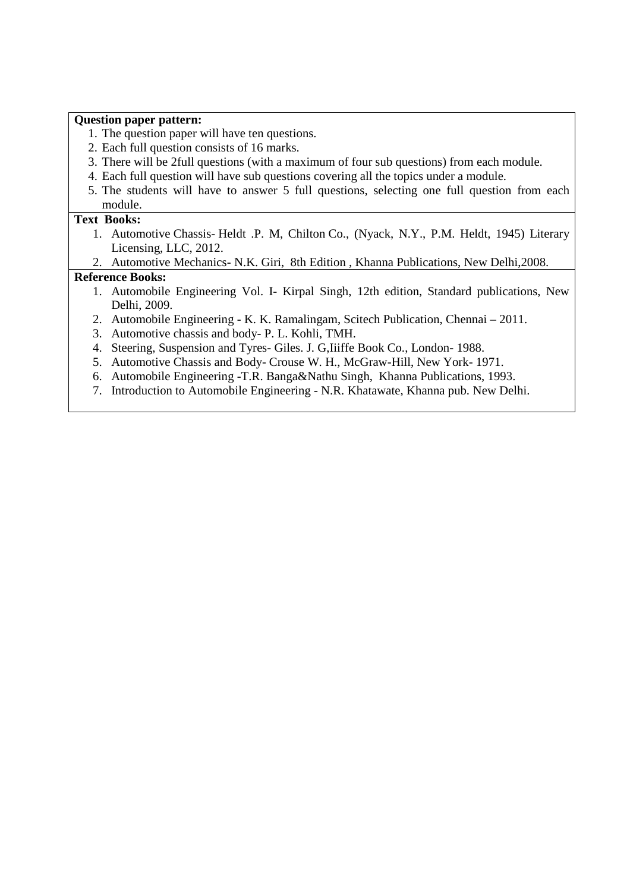#### **Question paper pattern:**

- 1. The question paper will have ten questions.
- 2. Each full question consists of 16 marks.
- 3. There will be 2full questions (with a maximum of four sub questions) from each module.
- 4. Each full question will have sub questions covering all the topics under a module.
- 5. The students will have to answer 5 full questions, selecting one full question from each module.

#### **Text Books:**

- 1. Automotive Chassis- Heldt .P. M, Chilton Co., (Nyack, N.Y., P.M. Heldt, 1945) Literary Licensing, LLC, 2012.
- 2. Automotive Mechanics- N.K. Giri, 8th Edition , Khanna Publications, New Delhi,2008.

### **Reference Books:**

- 1. Automobile Engineering Vol. I- Kirpal Singh, 12th edition, Standard publications, New Delhi, 2009.
- 2. Automobile Engineering K. K. Ramalingam, Scitech Publication, Chennai 2011.
- 3. Automotive chassis and body- P. L. Kohli, TMH.
- 4. Steering, Suspension and Tyres- Giles. J. G,Iiiffe Book Co., London- 1988.
- 5. Automotive Chassis and Body- Crouse W. H., McGraw-Hill, New York- 1971.
- 6. Automobile Engineering -T.R. Banga&Nathu Singh, Khanna Publications, 1993.
- 7. Introduction to Automobile Engineering N.R. Khatawate, Khanna pub. New Delhi.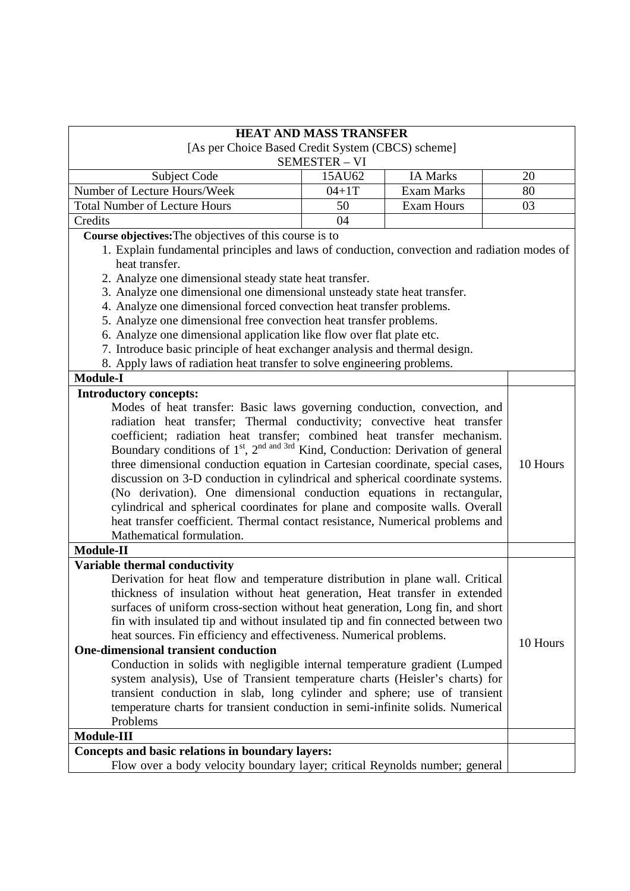|                                                                                                          | <b>HEAT AND MASS TRANSFER</b>                     |                   |  |          |
|----------------------------------------------------------------------------------------------------------|---------------------------------------------------|-------------------|--|----------|
|                                                                                                          | [As per Choice Based Credit System (CBCS) scheme] |                   |  |          |
|                                                                                                          | <b>SEMESTER - VI</b>                              |                   |  |          |
| <b>Subject Code</b>                                                                                      | 15AU62                                            | <b>IA Marks</b>   |  | 20       |
| Number of Lecture Hours/Week                                                                             | $04 + 1T$                                         | <b>Exam Marks</b> |  | 80       |
| <b>Total Number of Lecture Hours</b>                                                                     | 50                                                | <b>Exam Hours</b> |  | 03       |
| Credits                                                                                                  | 04                                                |                   |  |          |
| Course objectives: The objectives of this course is to                                                   |                                                   |                   |  |          |
| 1. Explain fundamental principles and laws of conduction, convection and radiation modes of              |                                                   |                   |  |          |
| heat transfer.                                                                                           |                                                   |                   |  |          |
| 2. Analyze one dimensional steady state heat transfer.                                                   |                                                   |                   |  |          |
| 3. Analyze one dimensional one dimensional unsteady state heat transfer.                                 |                                                   |                   |  |          |
| 4. Analyze one dimensional forced convection heat transfer problems.                                     |                                                   |                   |  |          |
| 5. Analyze one dimensional free convection heat transfer problems.                                       |                                                   |                   |  |          |
| 6. Analyze one dimensional application like flow over flat plate etc.                                    |                                                   |                   |  |          |
| 7. Introduce basic principle of heat exchanger analysis and thermal design.                              |                                                   |                   |  |          |
| 8. Apply laws of radiation heat transfer to solve engineering problems.                                  |                                                   |                   |  |          |
| <b>Module-I</b>                                                                                          |                                                   |                   |  |          |
| <b>Introductory concepts:</b>                                                                            |                                                   |                   |  |          |
| Modes of heat transfer: Basic laws governing conduction, convection, and                                 |                                                   |                   |  |          |
| radiation heat transfer; Thermal conductivity; convective heat transfer                                  |                                                   |                   |  |          |
| coefficient; radiation heat transfer; combined heat transfer mechanism.                                  |                                                   |                   |  |          |
| Boundary conditions of 1 <sup>st</sup> , 2 <sup>nd and 3rd</sup> Kind, Conduction: Derivation of general |                                                   |                   |  |          |
| three dimensional conduction equation in Cartesian coordinate, special cases,                            |                                                   |                   |  | 10 Hours |
| discussion on 3-D conduction in cylindrical and spherical coordinate systems.                            |                                                   |                   |  |          |
| (No derivation). One dimensional conduction equations in rectangular,                                    |                                                   |                   |  |          |
| cylindrical and spherical coordinates for plane and composite walls. Overall                             |                                                   |                   |  |          |
| heat transfer coefficient. Thermal contact resistance, Numerical problems and                            |                                                   |                   |  |          |
| Mathematical formulation.                                                                                |                                                   |                   |  |          |
| Module-II                                                                                                |                                                   |                   |  |          |
| Variable thermal conductivity                                                                            |                                                   |                   |  |          |
| Derivation for heat flow and temperature distribution in plane wall. Critical                            |                                                   |                   |  |          |
| thickness of insulation without heat generation, Heat transfer in extended                               |                                                   |                   |  |          |
| surfaces of uniform cross-section without heat generation, Long fin, and short                           |                                                   |                   |  |          |
| fin with insulated tip and without insulated tip and fin connected between two                           |                                                   |                   |  |          |
| heat sources. Fin efficiency and effectiveness. Numerical problems.                                      |                                                   |                   |  | 10 Hours |
| <b>One-dimensional transient conduction</b>                                                              |                                                   |                   |  |          |
| Conduction in solids with negligible internal temperature gradient (Lumped                               |                                                   |                   |  |          |
| system analysis), Use of Transient temperature charts (Heisler's charts) for                             |                                                   |                   |  |          |
| transient conduction in slab, long cylinder and sphere; use of transient                                 |                                                   |                   |  |          |
| temperature charts for transient conduction in semi-infinite solids. Numerical                           |                                                   |                   |  |          |
| Problems                                                                                                 |                                                   |                   |  |          |
| Module-III                                                                                               |                                                   |                   |  |          |
| Concepts and basic relations in boundary layers:                                                         |                                                   |                   |  |          |
| Flow over a body velocity boundary layer; critical Reynolds number; general                              |                                                   |                   |  |          |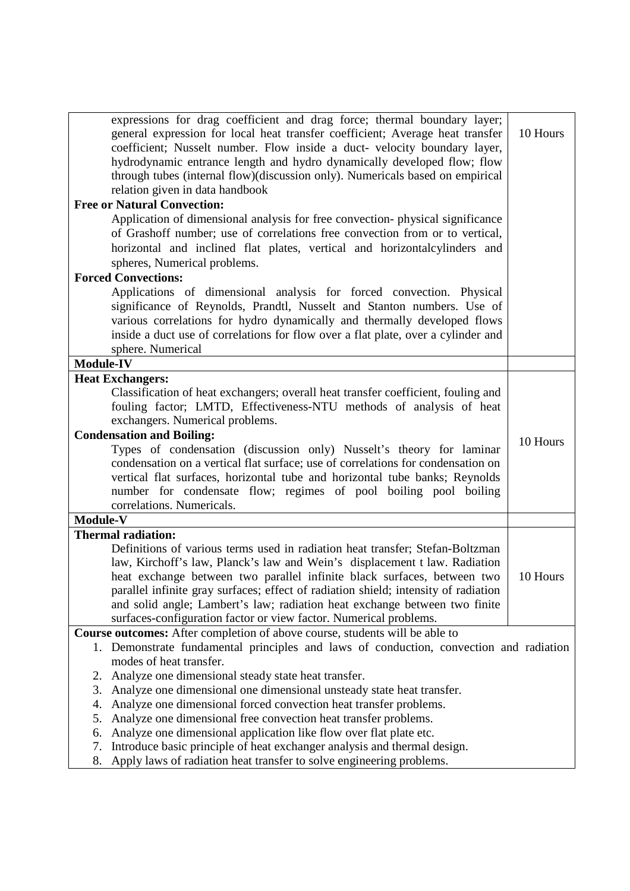| expressions for drag coefficient and drag force; thermal boundary layer;<br>general expression for local heat transfer coefficient; Average heat transfer<br>coefficient; Nusselt number. Flow inside a duct- velocity boundary layer,<br>hydrodynamic entrance length and hydro dynamically developed flow; flow<br>through tubes (internal flow)(discussion only). Numericals based on empirical<br>relation given in data handbook<br><b>Free or Natural Convection:</b><br>Application of dimensional analysis for free convection-physical significance<br>of Grashoff number; use of correlations free convection from or to vertical,<br>horizontal and inclined flat plates, vertical and horizontalcylinders and<br>spheres, Numerical problems.<br><b>Forced Convections:</b> | 10 Hours |
|-----------------------------------------------------------------------------------------------------------------------------------------------------------------------------------------------------------------------------------------------------------------------------------------------------------------------------------------------------------------------------------------------------------------------------------------------------------------------------------------------------------------------------------------------------------------------------------------------------------------------------------------------------------------------------------------------------------------------------------------------------------------------------------------|----------|
| Applications of dimensional analysis for forced convection. Physical<br>significance of Reynolds, Prandtl, Nusselt and Stanton numbers. Use of<br>various correlations for hydro dynamically and thermally developed flows<br>inside a duct use of correlations for flow over a flat plate, over a cylinder and<br>sphere. Numerical                                                                                                                                                                                                                                                                                                                                                                                                                                                    |          |
| <b>Module-IV</b>                                                                                                                                                                                                                                                                                                                                                                                                                                                                                                                                                                                                                                                                                                                                                                        |          |
| <b>Heat Exchangers:</b>                                                                                                                                                                                                                                                                                                                                                                                                                                                                                                                                                                                                                                                                                                                                                                 |          |
| Classification of heat exchangers; overall heat transfer coefficient, fouling and<br>fouling factor; LMTD, Effectiveness-NTU methods of analysis of heat<br>exchangers. Numerical problems.<br><b>Condensation and Boiling:</b><br>Types of condensation (discussion only) Nusselt's theory for laminar<br>condensation on a vertical flat surface; use of correlations for condensation on                                                                                                                                                                                                                                                                                                                                                                                             | 10 Hours |
| vertical flat surfaces, horizontal tube and horizontal tube banks; Reynolds<br>number for condensate flow; regimes of pool boiling pool boiling<br>correlations. Numericals.                                                                                                                                                                                                                                                                                                                                                                                                                                                                                                                                                                                                            |          |
| Module-V                                                                                                                                                                                                                                                                                                                                                                                                                                                                                                                                                                                                                                                                                                                                                                                |          |
| <b>Thermal radiation:</b>                                                                                                                                                                                                                                                                                                                                                                                                                                                                                                                                                                                                                                                                                                                                                               |          |
| Definitions of various terms used in radiation heat transfer; Stefan-Boltzman<br>law, Kirchoff's law, Planck's law and Wein's displacement t law. Radiation<br>heat exchange between two parallel infinite black surfaces, between two<br>parallel infinite gray surfaces; effect of radiation shield; intensity of radiation<br>and solid angle; Lambert's law; radiation heat exchange between two finite<br>surfaces-configuration factor or view factor. Numerical problems.                                                                                                                                                                                                                                                                                                        | 10 Hours |
| <b>Course outcomes:</b> After completion of above course, students will be able to                                                                                                                                                                                                                                                                                                                                                                                                                                                                                                                                                                                                                                                                                                      |          |
| 1. Demonstrate fundamental principles and laws of conduction, convection and radiation<br>modes of heat transfer.                                                                                                                                                                                                                                                                                                                                                                                                                                                                                                                                                                                                                                                                       |          |
| Analyze one dimensional steady state heat transfer.<br>2.                                                                                                                                                                                                                                                                                                                                                                                                                                                                                                                                                                                                                                                                                                                               |          |
| Analyze one dimensional one dimensional unsteady state heat transfer.<br>3.                                                                                                                                                                                                                                                                                                                                                                                                                                                                                                                                                                                                                                                                                                             |          |
| Analyze one dimensional forced convection heat transfer problems.<br>4.                                                                                                                                                                                                                                                                                                                                                                                                                                                                                                                                                                                                                                                                                                                 |          |
| Analyze one dimensional free convection heat transfer problems.<br>5.                                                                                                                                                                                                                                                                                                                                                                                                                                                                                                                                                                                                                                                                                                                   |          |
| Analyze one dimensional application like flow over flat plate etc.<br>6.                                                                                                                                                                                                                                                                                                                                                                                                                                                                                                                                                                                                                                                                                                                |          |
| Introduce basic principle of heat exchanger analysis and thermal design.<br>7.<br>Apply laws of radiation heat transfer to solve engineering problems.<br>8.                                                                                                                                                                                                                                                                                                                                                                                                                                                                                                                                                                                                                            |          |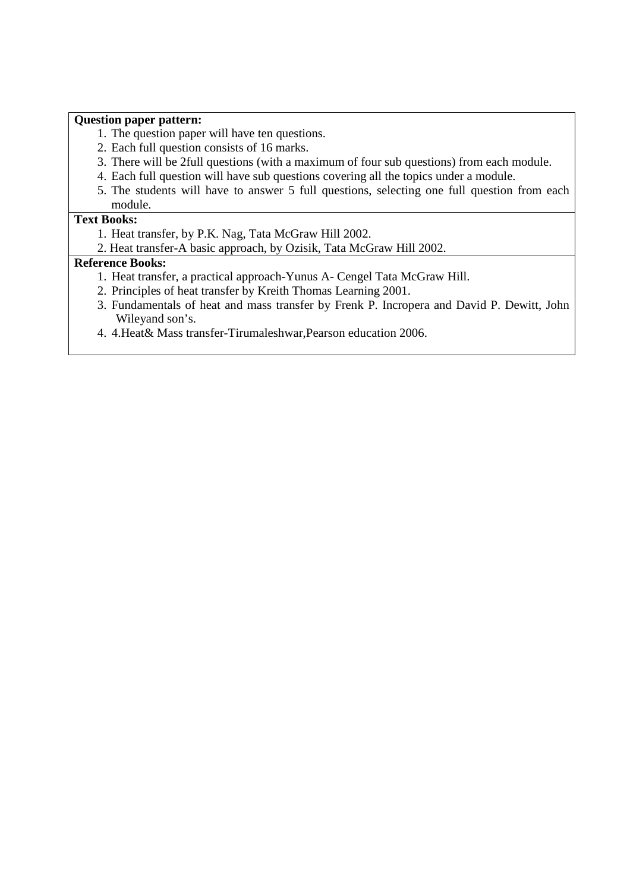#### **Question paper pattern:**

- 1. The question paper will have ten questions.
- 2. Each full question consists of 16 marks.
- 3. There will be 2full questions (with a maximum of four sub questions) from each module.
- 4. Each full question will have sub questions covering all the topics under a module.
- 5. The students will have to answer 5 full questions, selecting one full question from each module.

## **Text Books:**

- 1. Heat transfer, by P.K. Nag, Tata McGraw Hill 2002.
- 2. Heat transfer-A basic approach, by Ozisik, Tata McGraw Hill 2002.

#### **Reference Books:**

- 1. Heat transfer, a practical approach-Yunus A- Cengel Tata McGraw Hill.
- 2. Principles of heat transfer by Kreith Thomas Learning 2001.
- 3. Fundamentals of heat and mass transfer by Frenk P. Incropera and David P. Dewitt, John Wileyand son's.
- 4. 4.Heat& Mass transfer-Tirumaleshwar,Pearson education 2006.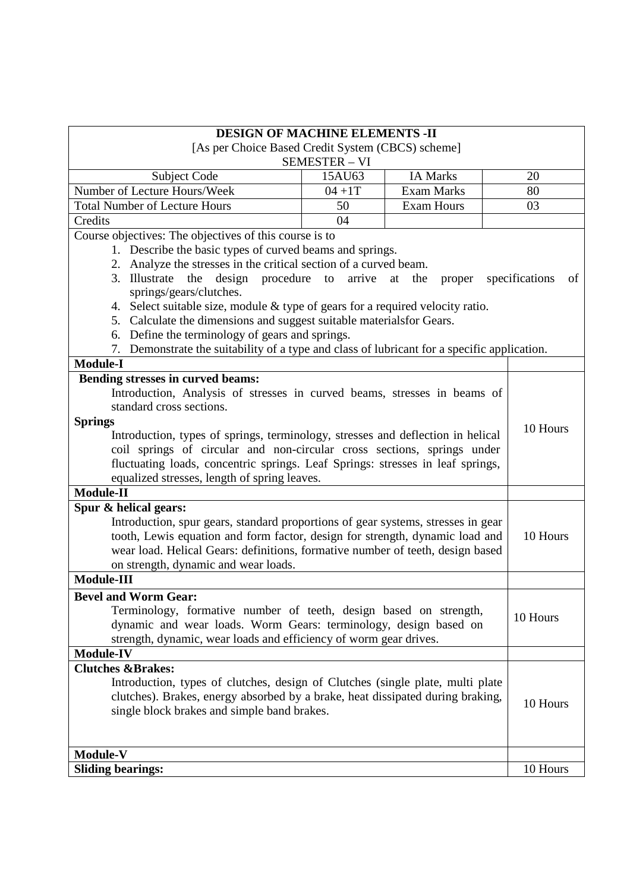| <b>DESIGN OF MACHINE ELEMENTS -II</b>                                                          |           |                     |  |                      |
|------------------------------------------------------------------------------------------------|-----------|---------------------|--|----------------------|
| [As per Choice Based Credit System (CBCS) scheme]<br><b>SEMESTER - VI</b>                      |           |                     |  |                      |
| Subject Code                                                                                   | 15AU63    | <b>IA Marks</b>     |  | 20                   |
| Number of Lecture Hours/Week                                                                   | $04 + 1T$ | <b>Exam Marks</b>   |  | 80                   |
| <b>Total Number of Lecture Hours</b>                                                           | 50        | <b>Exam Hours</b>   |  | 03                   |
| Credits                                                                                        | 04        |                     |  |                      |
| Course objectives: The objectives of this course is to                                         |           |                     |  |                      |
| 1. Describe the basic types of curved beams and springs.                                       |           |                     |  |                      |
| 2. Analyze the stresses in the critical section of a curved beam.                              |           |                     |  |                      |
| the design procedure to<br>3. Illustrate                                                       | arrive    | at<br>the<br>proper |  | specifications<br>of |
| springs/gears/clutches.                                                                        |           |                     |  |                      |
| 4. Select suitable size, module $&$ type of gears for a required velocity ratio.               |           |                     |  |                      |
| 5. Calculate the dimensions and suggest suitable materialsfor Gears.                           |           |                     |  |                      |
| 6. Define the terminology of gears and springs.                                                |           |                     |  |                      |
| Demonstrate the suitability of a type and class of lubricant for a specific application.<br>7. |           |                     |  |                      |
| <b>Module-I</b>                                                                                |           |                     |  |                      |
| Bending stresses in curved beams:                                                              |           |                     |  |                      |
| Introduction, Analysis of stresses in curved beams, stresses in beams of                       |           |                     |  |                      |
| standard cross sections.                                                                       |           |                     |  |                      |
| <b>Springs</b>                                                                                 |           |                     |  | 10 Hours             |
| Introduction, types of springs, terminology, stresses and deflection in helical                |           |                     |  |                      |
| coil springs of circular and non-circular cross sections, springs under                        |           |                     |  |                      |
| fluctuating loads, concentric springs. Leaf Springs: stresses in leaf springs,                 |           |                     |  |                      |
| equalized stresses, length of spring leaves.                                                   |           |                     |  |                      |
| <b>Module-II</b>                                                                               |           |                     |  |                      |
| Spur & helical gears:                                                                          |           |                     |  |                      |
| Introduction, spur gears, standard proportions of gear systems, stresses in gear               |           |                     |  |                      |
| tooth, Lewis equation and form factor, design for strength, dynamic load and                   |           |                     |  | 10 Hours             |
| wear load. Helical Gears: definitions, formative number of teeth, design based                 |           |                     |  |                      |
| on strength, dynamic and wear loads.                                                           |           |                     |  |                      |
| Module-III                                                                                     |           |                     |  |                      |
| <b>Bevel and Worm Gear:</b>                                                                    |           |                     |  |                      |
| Terminology, formative number of teeth, design based on strength,                              |           |                     |  | 10 Hours             |
| dynamic and wear loads. Worm Gears: terminology, design based on                               |           |                     |  |                      |
| strength, dynamic, wear loads and efficiency of worm gear drives.                              |           |                     |  |                      |
| <b>Module-IV</b>                                                                               |           |                     |  |                      |
| <b>Clutches &amp;Brakes:</b>                                                                   |           |                     |  |                      |
| Introduction, types of clutches, design of Clutches (single plate, multi plate                 |           |                     |  |                      |
| clutches). Brakes, energy absorbed by a brake, heat dissipated during braking,                 |           |                     |  | 10 Hours             |
| single block brakes and simple band brakes.                                                    |           |                     |  |                      |
|                                                                                                |           |                     |  |                      |
|                                                                                                |           |                     |  |                      |
| Module-V                                                                                       |           |                     |  |                      |
| <b>Sliding bearings:</b>                                                                       |           |                     |  | 10 Hours             |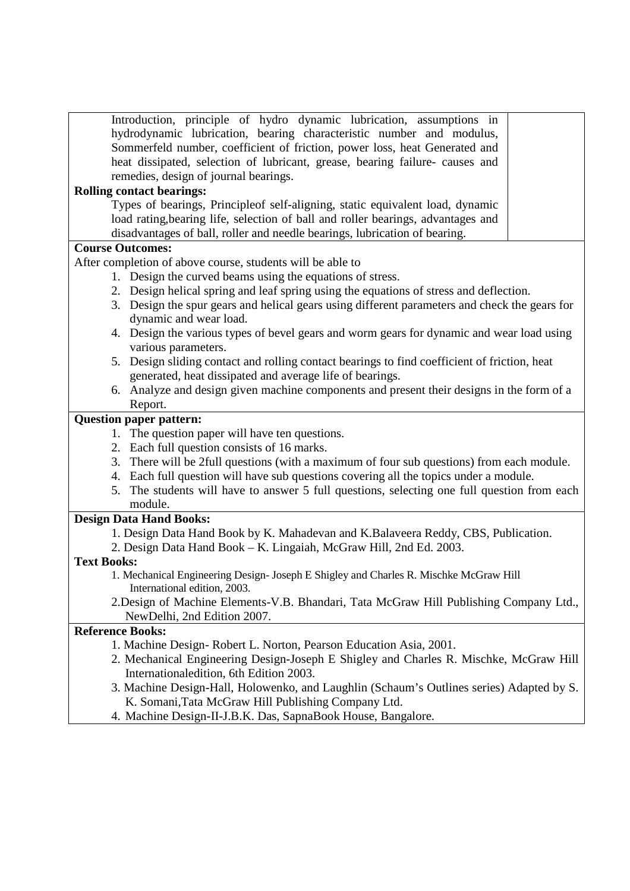| Introduction, principle of hydro dynamic lubrication, assumptions in<br>hydrodynamic lubrication, bearing characteristic number and modulus,<br>Sommerfeld number, coefficient of friction, power loss, heat Generated and<br>heat dissipated, selection of lubricant, grease, bearing failure- causes and<br>remedies, design of journal bearings. |
|-----------------------------------------------------------------------------------------------------------------------------------------------------------------------------------------------------------------------------------------------------------------------------------------------------------------------------------------------------|
| <b>Rolling contact bearings:</b>                                                                                                                                                                                                                                                                                                                    |
| Types of bearings, Principleof self-aligning, static equivalent load, dynamic                                                                                                                                                                                                                                                                       |
| load rating, bearing life, selection of ball and roller bearings, advantages and                                                                                                                                                                                                                                                                    |
| disadvantages of ball, roller and needle bearings, lubrication of bearing.                                                                                                                                                                                                                                                                          |
| <b>Course Outcomes:</b>                                                                                                                                                                                                                                                                                                                             |
| After completion of above course, students will be able to                                                                                                                                                                                                                                                                                          |
| 1. Design the curved beams using the equations of stress.                                                                                                                                                                                                                                                                                           |
| 2. Design helical spring and leaf spring using the equations of stress and deflection.                                                                                                                                                                                                                                                              |
| 3. Design the spur gears and helical gears using different parameters and check the gears for                                                                                                                                                                                                                                                       |
| dynamic and wear load.                                                                                                                                                                                                                                                                                                                              |
| 4. Design the various types of bevel gears and worm gears for dynamic and wear load using                                                                                                                                                                                                                                                           |
| various parameters.                                                                                                                                                                                                                                                                                                                                 |
| 5. Design sliding contact and rolling contact bearings to find coefficient of friction, heat                                                                                                                                                                                                                                                        |
| generated, heat dissipated and average life of bearings.                                                                                                                                                                                                                                                                                            |
| 6. Analyze and design given machine components and present their designs in the form of a                                                                                                                                                                                                                                                           |
| Report.                                                                                                                                                                                                                                                                                                                                             |
|                                                                                                                                                                                                                                                                                                                                                     |
| <b>Question paper pattern:</b>                                                                                                                                                                                                                                                                                                                      |
| 1. The question paper will have ten questions.                                                                                                                                                                                                                                                                                                      |
| 2. Each full question consists of 16 marks.                                                                                                                                                                                                                                                                                                         |
| 3. There will be 2full questions (with a maximum of four sub questions) from each module.                                                                                                                                                                                                                                                           |
| 4. Each full question will have sub questions covering all the topics under a module.                                                                                                                                                                                                                                                               |
| 5. The students will have to answer 5 full questions, selecting one full question from each                                                                                                                                                                                                                                                         |
| module.                                                                                                                                                                                                                                                                                                                                             |
| <b>Design Data Hand Books:</b>                                                                                                                                                                                                                                                                                                                      |
| 1. Design Data Hand Book by K. Mahadevan and K. Balaveera Reddy, CBS, Publication.                                                                                                                                                                                                                                                                  |
| 2. Design Data Hand Book - K. Lingaiah, McGraw Hill, 2nd Ed. 2003.                                                                                                                                                                                                                                                                                  |
| <b>Text Books:</b>                                                                                                                                                                                                                                                                                                                                  |
| 1. Mechanical Engineering Design- Joseph E Shigley and Charles R. Mischke McGraw Hill<br>International edition, 2003.                                                                                                                                                                                                                               |
| 2. Design of Machine Elements-V.B. Bhandari, Tata McGraw Hill Publishing Company Ltd.,                                                                                                                                                                                                                                                              |
| NewDelhi, 2nd Edition 2007.                                                                                                                                                                                                                                                                                                                         |
| <b>Reference Books:</b>                                                                                                                                                                                                                                                                                                                             |
| 1. Machine Design-Robert L. Norton, Pearson Education Asia, 2001.                                                                                                                                                                                                                                                                                   |
| 2. Mechanical Engineering Design-Joseph E Shigley and Charles R. Mischke, McGraw Hill                                                                                                                                                                                                                                                               |
| Internationaledition, 6th Edition 2003.                                                                                                                                                                                                                                                                                                             |
| 3. Machine Design-Hall, Holowenko, and Laughlin (Schaum's Outlines series) Adapted by S.                                                                                                                                                                                                                                                            |
| K. Somani, Tata McGraw Hill Publishing Company Ltd.                                                                                                                                                                                                                                                                                                 |
| 4. Machine Design-II-J.B.K. Das, SapnaBook House, Bangalore.                                                                                                                                                                                                                                                                                        |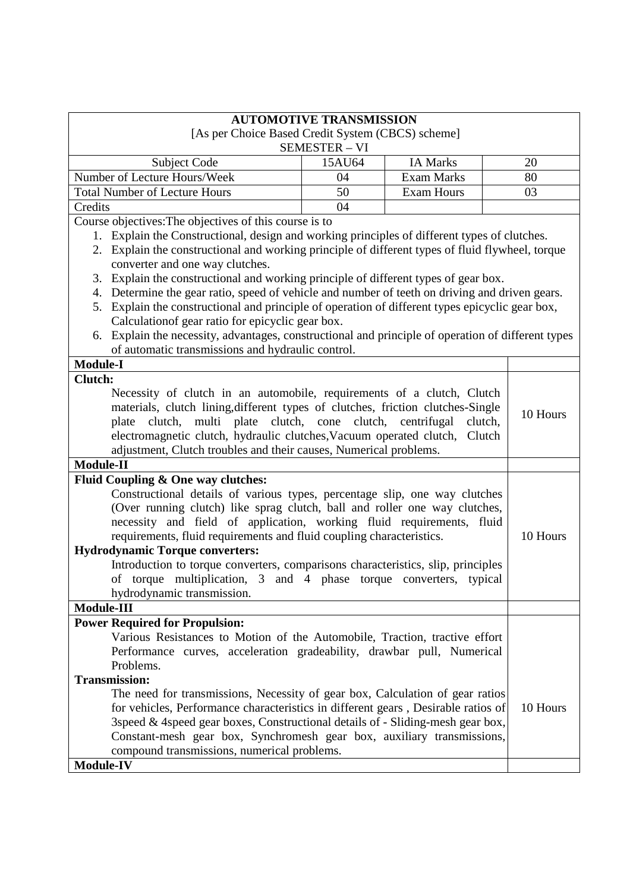|                                                                                                                                               | <b>AUTOMOTIVE TRANSMISSION</b> |                   |          |
|-----------------------------------------------------------------------------------------------------------------------------------------------|--------------------------------|-------------------|----------|
| [As per Choice Based Credit System (CBCS) scheme]                                                                                             |                                |                   |          |
|                                                                                                                                               | <b>SEMESTER - VI</b>           |                   |          |
| Subject Code                                                                                                                                  | 15AU64                         | <b>IA Marks</b>   | 20       |
| Number of Lecture Hours/Week                                                                                                                  | 04                             | <b>Exam Marks</b> | 80       |
| <b>Total Number of Lecture Hours</b>                                                                                                          | 50                             | <b>Exam Hours</b> | 03       |
| Credits                                                                                                                                       | 04                             |                   |          |
| Course objectives: The objectives of this course is to                                                                                        |                                |                   |          |
| 1. Explain the Constructional, design and working principles of different types of clutches.                                                  |                                |                   |          |
| 2. Explain the constructional and working principle of different types of fluid flywheel, torque                                              |                                |                   |          |
| converter and one way clutches.                                                                                                               |                                |                   |          |
| Explain the constructional and working principle of different types of gear box.<br>3.                                                        |                                |                   |          |
| 4. Determine the gear ratio, speed of vehicle and number of teeth on driving and driven gears.                                                |                                |                   |          |
| 5. Explain the constructional and principle of operation of different types epicyclic gear box,                                               |                                |                   |          |
| Calculation of gear ratio for epicyclic gear box.                                                                                             |                                |                   |          |
| 6. Explain the necessity, advantages, constructional and principle of operation of different types                                            |                                |                   |          |
| of automatic transmissions and hydraulic control.                                                                                             |                                |                   |          |
| <b>Module-I</b>                                                                                                                               |                                |                   |          |
| Clutch:                                                                                                                                       |                                |                   |          |
| Necessity of clutch in an automobile, requirements of a clutch, Clutch                                                                        |                                |                   |          |
| materials, clutch lining, different types of clutches, friction clutches-Single                                                               |                                |                   | 10 Hours |
| clutch, multi plate clutch, cone clutch, centrifugal<br>plate                                                                                 |                                | clutch,           |          |
| electromagnetic clutch, hydraulic clutches, Vacuum operated clutch,                                                                           |                                | Clutch            |          |
| adjustment, Clutch troubles and their causes, Numerical problems.                                                                             |                                |                   |          |
| Module-II                                                                                                                                     |                                |                   |          |
| Fluid Coupling & One way clutches:                                                                                                            |                                |                   |          |
| Constructional details of various types, percentage slip, one way clutches                                                                    |                                |                   |          |
| (Over running clutch) like sprag clutch, ball and roller one way clutches,                                                                    |                                |                   |          |
| necessity and field of application, working fluid requirements, fluid<br>requirements, fluid requirements and fluid coupling characteristics. |                                |                   |          |
|                                                                                                                                               |                                |                   | 10 Hours |
| <b>Hydrodynamic Torque converters:</b>                                                                                                        |                                |                   |          |
| Introduction to torque converters, comparisons characteristics, slip, principles                                                              |                                |                   |          |
| of torque multiplication, 3 and 4 phase torque converters, typical                                                                            |                                |                   |          |
| hydrodynamic transmission.                                                                                                                    |                                |                   |          |
| Module-III                                                                                                                                    |                                |                   |          |
| <b>Power Required for Propulsion:</b>                                                                                                         |                                |                   |          |
| Various Resistances to Motion of the Automobile, Traction, tractive effort                                                                    |                                |                   |          |
| Performance curves, acceleration gradeability, drawbar pull, Numerical                                                                        |                                |                   |          |
| Problems.                                                                                                                                     |                                |                   |          |
| <b>Transmission:</b>                                                                                                                          |                                |                   |          |
| The need for transmissions, Necessity of gear box, Calculation of gear ratios                                                                 |                                |                   |          |
| for vehicles, Performance characteristics in different gears, Desirable ratios of                                                             |                                |                   | 10 Hours |
| 3speed & 4speed gear boxes, Constructional details of - Sliding-mesh gear box,                                                                |                                |                   |          |
| Constant-mesh gear box, Synchromesh gear box, auxiliary transmissions,                                                                        |                                |                   |          |
| compound transmissions, numerical problems.                                                                                                   |                                |                   |          |
| Module-IV                                                                                                                                     |                                |                   |          |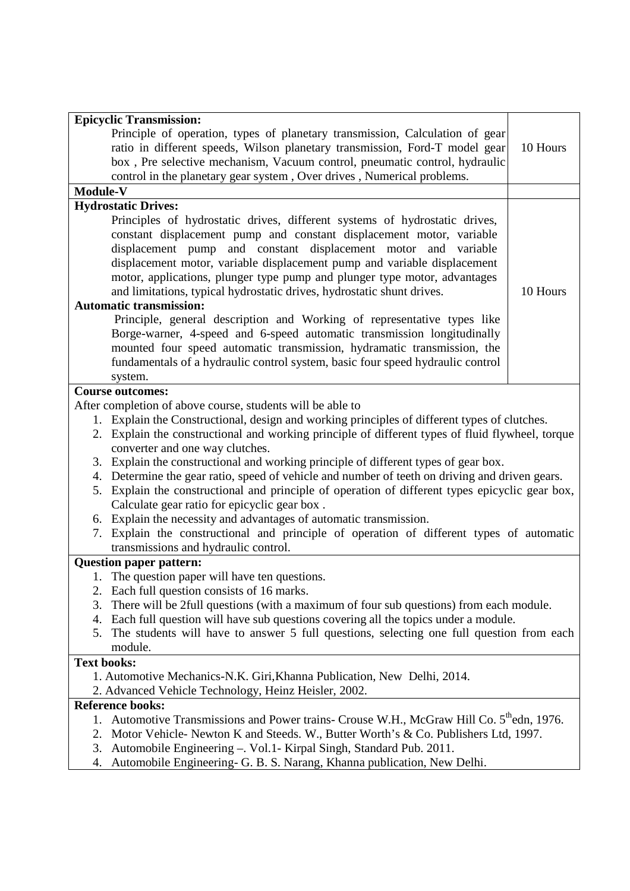| <b>Epicyclic Transmission:</b>                                                                           |          |  |
|----------------------------------------------------------------------------------------------------------|----------|--|
| Principle of operation, types of planetary transmission, Calculation of gear                             |          |  |
| ratio in different speeds, Wilson planetary transmission, Ford-T model gear                              | 10 Hours |  |
| box, Pre selective mechanism, Vacuum control, pneumatic control, hydraulic                               |          |  |
| control in the planetary gear system, Over drives, Numerical problems.                                   |          |  |
| Module-V                                                                                                 |          |  |
| <b>Hydrostatic Drives:</b>                                                                               |          |  |
| Principles of hydrostatic drives, different systems of hydrostatic drives,                               |          |  |
| constant displacement pump and constant displacement motor, variable                                     |          |  |
| displacement pump and constant displacement motor and variable                                           |          |  |
| displacement motor, variable displacement pump and variable displacement                                 |          |  |
| motor, applications, plunger type pump and plunger type motor, advantages                                |          |  |
| and limitations, typical hydrostatic drives, hydrostatic shunt drives.                                   | 10 Hours |  |
| <b>Automatic transmission:</b>                                                                           |          |  |
| Principle, general description and Working of representative types like                                  |          |  |
| Borge-warner, 4-speed and 6-speed automatic transmission longitudinally                                  |          |  |
| mounted four speed automatic transmission, hydramatic transmission, the                                  |          |  |
| fundamentals of a hydraulic control system, basic four speed hydraulic control                           |          |  |
|                                                                                                          |          |  |
| system.                                                                                                  |          |  |
| <b>Course outcomes:</b>                                                                                  |          |  |
| After completion of above course, students will be able to                                               |          |  |
| 1. Explain the Constructional, design and working principles of different types of clutches.             |          |  |
| 2. Explain the constructional and working principle of different types of fluid flywheel, torque         |          |  |
| converter and one way clutches.                                                                          |          |  |
| 3. Explain the constructional and working principle of different types of gear box.                      |          |  |
| 4. Determine the gear ratio, speed of vehicle and number of teeth on driving and driven gears.           |          |  |
| 5. Explain the constructional and principle of operation of different types epicyclic gear box,          |          |  |
| Calculate gear ratio for epicyclic gear box.                                                             |          |  |
| 6. Explain the necessity and advantages of automatic transmission.                                       |          |  |
| 7. Explain the constructional and principle of operation of different types of automatic                 |          |  |
| transmissions and hydraulic control.                                                                     |          |  |
| <b>Question paper pattern:</b>                                                                           |          |  |
| 1. The question paper will have ten questions.                                                           |          |  |
| 2. Each full question consists of 16 marks.                                                              |          |  |
| There will be 2full questions (with a maximum of four sub questions) from each module.<br>3.             |          |  |
| Each full question will have sub questions covering all the topics under a module.<br>4.                 |          |  |
| The students will have to answer 5 full questions, selecting one full question from each<br>5.           |          |  |
| module.                                                                                                  |          |  |
| <b>Text books:</b>                                                                                       |          |  |
| 1. Automotive Mechanics-N.K. Giri, Khanna Publication, New Delhi, 2014.                                  |          |  |
| 2. Advanced Vehicle Technology, Heinz Heisler, 2002.                                                     |          |  |
| <b>Reference books:</b>                                                                                  |          |  |
| Automotive Transmissions and Power trains- Crouse W.H., McGraw Hill Co. 5 <sup>th</sup> edn, 1976.<br>1. |          |  |
| Motor Vehicle-Newton K and Steeds. W., Butter Worth's & Co. Publishers Ltd, 1997.<br>2.                  |          |  |
| Automobile Engineering -. Vol.1- Kirpal Singh, Standard Pub. 2011.<br>3.                                 |          |  |
| Automobile Engineering- G. B. S. Narang, Khanna publication, New Delhi.<br>4.                            |          |  |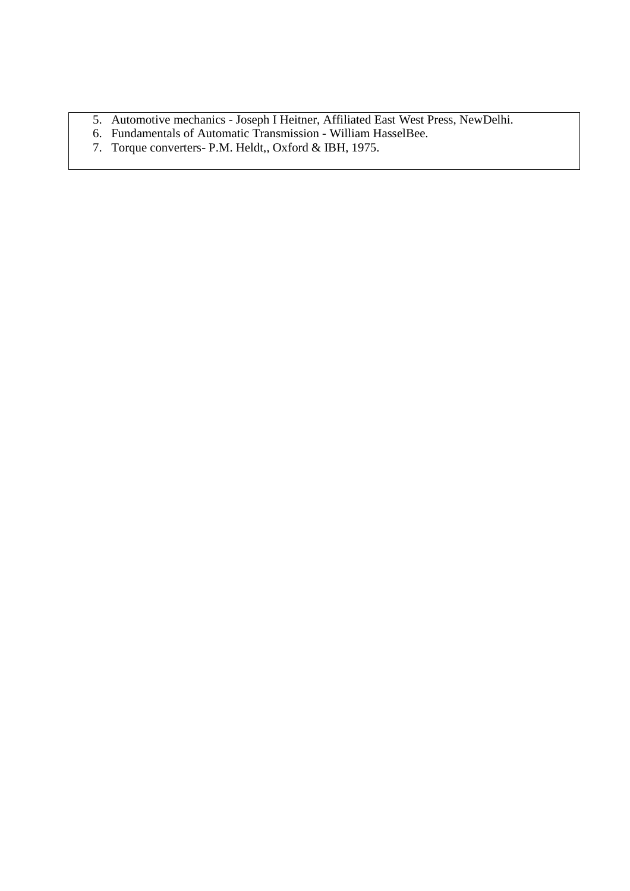- 5. Automotive mechanics Joseph I Heitner, Affiliated East West Press, NewDelhi.
- 6. Fundamentals of Automatic Transmission William HasselBee.
- 7. Torque converters- P.M. Heldt,, Oxford & IBH, 1975.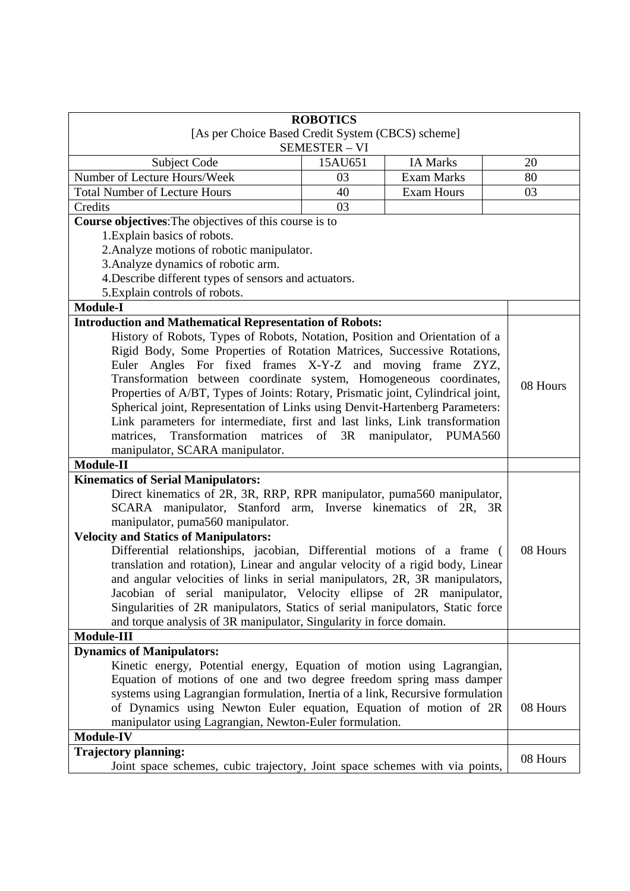|                                                                                  | <b>ROBOTICS</b>      |                   |          |
|----------------------------------------------------------------------------------|----------------------|-------------------|----------|
| [As per Choice Based Credit System (CBCS) scheme]                                |                      |                   |          |
|                                                                                  | <b>SEMESTER - VI</b> |                   |          |
| Subject Code                                                                     | 15AU651              | <b>IA Marks</b>   | 20       |
| Number of Lecture Hours/Week                                                     | 03                   | <b>Exam Marks</b> | 80       |
| <b>Total Number of Lecture Hours</b>                                             | 40                   | <b>Exam Hours</b> | 03       |
| Credits                                                                          | 03                   |                   |          |
| Course objectives: The objectives of this course is to                           |                      |                   |          |
| 1. Explain basics of robots.                                                     |                      |                   |          |
| 2. Analyze motions of robotic manipulator.                                       |                      |                   |          |
| 3. Analyze dynamics of robotic arm.                                              |                      |                   |          |
| 4. Describe different types of sensors and actuators.                            |                      |                   |          |
| 5. Explain controls of robots.                                                   |                      |                   |          |
| <b>Module-I</b>                                                                  |                      |                   |          |
| <b>Introduction and Mathematical Representation of Robots:</b>                   |                      |                   |          |
| History of Robots, Types of Robots, Notation, Position and Orientation of a      |                      |                   |          |
| Rigid Body, Some Properties of Rotation Matrices, Successive Rotations,          |                      |                   |          |
| Euler Angles For fixed frames X-Y-Z and moving frame ZYZ,                        |                      |                   |          |
| Transformation between coordinate system, Homogeneous coordinates,               |                      |                   |          |
| Properties of A/BT, Types of Joints: Rotary, Prismatic joint, Cylindrical joint, |                      |                   | 08 Hours |
| Spherical joint, Representation of Links using Denvit-Hartenberg Parameters:     |                      |                   |          |
| Link parameters for intermediate, first and last links, Link transformation      |                      |                   |          |
| Transformation matrices of<br>3R<br>matrices,<br>manipulator, PUMA560            |                      |                   |          |
| manipulator, SCARA manipulator.                                                  |                      |                   |          |
| Module-II                                                                        |                      |                   |          |
| <b>Kinematics of Serial Manipulators:</b>                                        |                      |                   |          |
| Direct kinematics of 2R, 3R, RRP, RPR manipulator, puma560 manipulator,          |                      |                   |          |
| SCARA manipulator, Stanford arm, Inverse kinematics of 2R, 3R                    |                      |                   |          |
| manipulator, puma560 manipulator.                                                |                      |                   |          |
| <b>Velocity and Statics of Manipulators:</b>                                     |                      |                   |          |
| Differential relationships, jacobian, Differential motions of a frame (          |                      |                   | 08 Hours |
| translation and rotation), Linear and angular velocity of a rigid body, Linear   |                      |                   |          |
| and angular velocities of links in serial manipulators, 2R, 3R manipulators,     |                      |                   |          |
| Jacobian of serial manipulator, Velocity ellipse of 2R manipulator,              |                      |                   |          |
| Singularities of 2R manipulators, Statics of serial manipulators, Static force   |                      |                   |          |
| and torque analysis of 3R manipulator, Singularity in force domain.              |                      |                   |          |
| Module-III                                                                       |                      |                   |          |
| <b>Dynamics of Manipulators:</b>                                                 |                      |                   |          |
| Kinetic energy, Potential energy, Equation of motion using Lagrangian,           |                      |                   |          |
| Equation of motions of one and two degree freedom spring mass damper             |                      |                   |          |
| systems using Lagrangian formulation, Inertia of a link, Recursive formulation   |                      |                   |          |
| of Dynamics using Newton Euler equation, Equation of motion of 2R                |                      |                   | 08 Hours |
| manipulator using Lagrangian, Newton-Euler formulation.                          |                      |                   |          |
| Module-IV                                                                        |                      |                   |          |
| <b>Trajectory planning:</b>                                                      |                      |                   |          |
| Joint space schemes, cubic trajectory, Joint space schemes with via points,      |                      |                   | 08 Hours |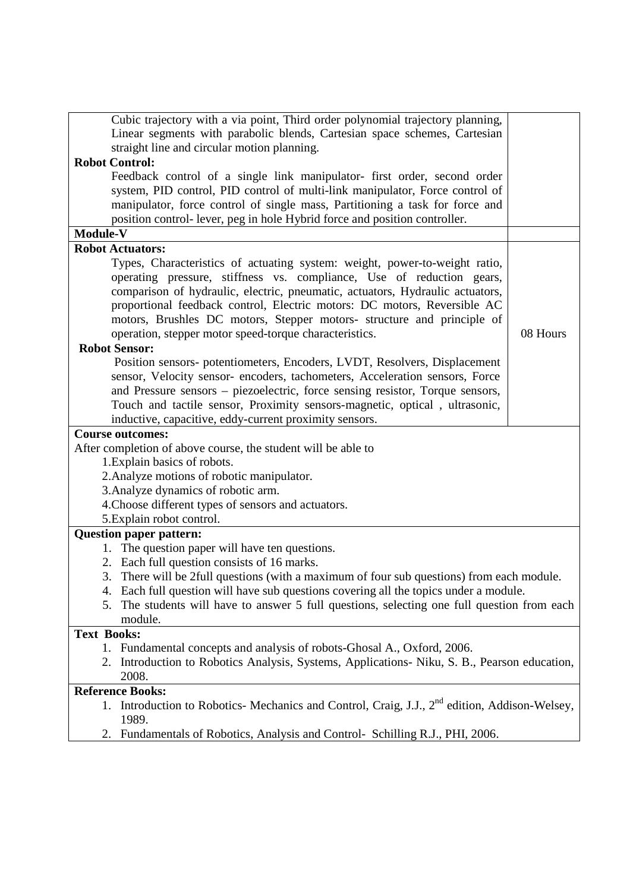| Linear segments with parabolic blends, Cartesian space schemes, Cartesian<br>straight line and circular motion planning. |          |
|--------------------------------------------------------------------------------------------------------------------------|----------|
| <b>Robot Control:</b>                                                                                                    |          |
| Feedback control of a single link manipulator- first order, second order                                                 |          |
| system, PID control, PID control of multi-link manipulator, Force control of                                             |          |
| manipulator, force control of single mass, Partitioning a task for force and                                             |          |
| position control- lever, peg in hole Hybrid force and position controller.                                               |          |
| Module-V                                                                                                                 |          |
| <b>Robot Actuators:</b>                                                                                                  |          |
| Types, Characteristics of actuating system: weight, power-to-weight ratio,                                               |          |
| operating pressure, stiffness vs. compliance, Use of reduction gears,                                                    |          |
| comparison of hydraulic, electric, pneumatic, actuators, Hydraulic actuators,                                            |          |
| proportional feedback control, Electric motors: DC motors, Reversible AC                                                 |          |
| motors, Brushles DC motors, Stepper motors- structure and principle of                                                   |          |
| operation, stepper motor speed-torque characteristics.                                                                   | 08 Hours |
| <b>Robot Sensor:</b>                                                                                                     |          |
| Position sensors-potentiometers, Encoders, LVDT, Resolvers, Displacement                                                 |          |
| sensor, Velocity sensor- encoders, tachometers, Acceleration sensors, Force                                              |          |
| and Pressure sensors – piezoelectric, force sensing resistor, Torque sensors,                                            |          |
| Touch and tactile sensor, Proximity sensors-magnetic, optical, ultrasonic,                                               |          |
| inductive, capacitive, eddy-current proximity sensors.                                                                   |          |
| <b>Course outcomes:</b>                                                                                                  |          |
| After completion of above course, the student will be able to                                                            |          |
| 1. Explain basics of robots.<br>2. Analyze motions of robotic manipulator.                                               |          |
| 3. Analyze dynamics of robotic arm.                                                                                      |          |
| 4. Choose different types of sensors and actuators.                                                                      |          |
| 5. Explain robot control.                                                                                                |          |
| <b>Question paper pattern:</b>                                                                                           |          |
| 1. The question paper will have ten questions.                                                                           |          |
| 2. Each full question consists of 16 marks.                                                                              |          |
| 3. There will be 2full questions (with a maximum of four sub questions) from each module.                                |          |
| 4. Each full question will have sub questions covering all the topics under a module.                                    |          |
| The students will have to answer 5 full questions, selecting one full question from each<br>5.                           |          |
| module.                                                                                                                  |          |
| <b>Text Books:</b>                                                                                                       |          |
| 1. Fundamental concepts and analysis of robots-Ghosal A., Oxford, 2006.                                                  |          |
| 2. Introduction to Robotics Analysis, Systems, Applications- Niku, S. B., Pearson education,                             |          |
| 2008.                                                                                                                    |          |
| <b>Reference Books:</b>                                                                                                  |          |
| 1. Introduction to Robotics-Mechanics and Control, Craig, J.J., 2 <sup>nd</sup> edition, Addison-Welsey,                 |          |
| 1989.                                                                                                                    |          |
| Fundamentals of Robotics, Analysis and Control- Schilling R.J., PHI, 2006.<br>2.                                         |          |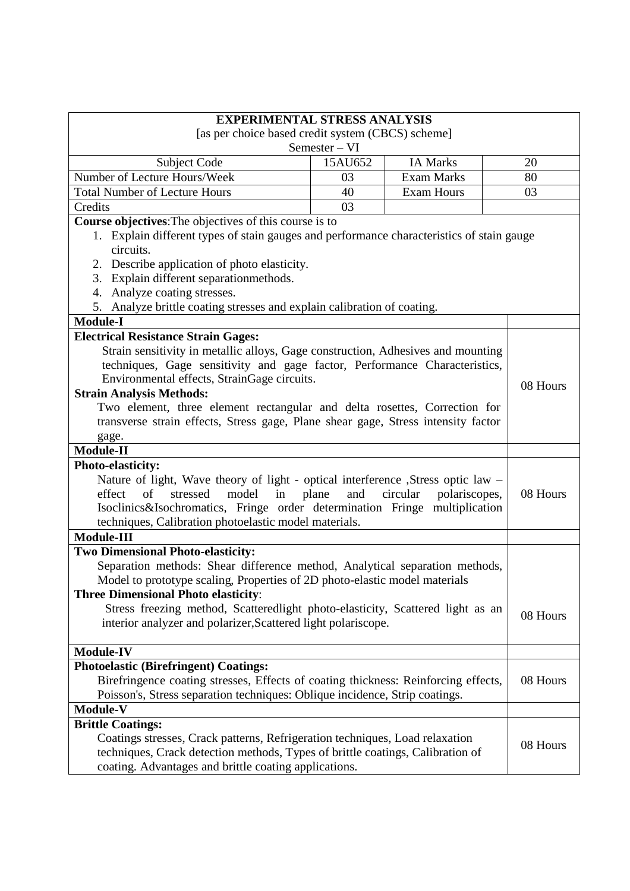| <b>EXPERIMENTAL STRESS ANALYSIS</b>                                                                                                                                 |                                                   |                   |          |
|---------------------------------------------------------------------------------------------------------------------------------------------------------------------|---------------------------------------------------|-------------------|----------|
|                                                                                                                                                                     | [as per choice based credit system (CBCS) scheme] |                   |          |
|                                                                                                                                                                     | Semester – VI                                     |                   |          |
| Subject Code                                                                                                                                                        | 15AU652                                           | <b>IA Marks</b>   | 20       |
| Number of Lecture Hours/Week                                                                                                                                        | 03                                                | <b>Exam Marks</b> | 80       |
| <b>Total Number of Lecture Hours</b>                                                                                                                                | 40                                                | <b>Exam Hours</b> | 03       |
| Credits                                                                                                                                                             | 03                                                |                   |          |
| Course objectives: The objectives of this course is to                                                                                                              |                                                   |                   |          |
| 1. Explain different types of stain gauges and performance characteristics of stain gauge                                                                           |                                                   |                   |          |
| circuits.                                                                                                                                                           |                                                   |                   |          |
| 2. Describe application of photo elasticity.                                                                                                                        |                                                   |                   |          |
| 3. Explain different separationmethods.                                                                                                                             |                                                   |                   |          |
| 4. Analyze coating stresses.                                                                                                                                        |                                                   |                   |          |
| 5. Analyze brittle coating stresses and explain calibration of coating.                                                                                             |                                                   |                   |          |
| <b>Module-I</b>                                                                                                                                                     |                                                   |                   |          |
| <b>Electrical Resistance Strain Gages:</b>                                                                                                                          |                                                   |                   |          |
| Strain sensitivity in metallic alloys, Gage construction, Adhesives and mounting                                                                                    |                                                   |                   |          |
| techniques, Gage sensitivity and gage factor, Performance Characteristics,                                                                                          |                                                   |                   |          |
| Environmental effects, StrainGage circuits.                                                                                                                         |                                                   |                   | 08 Hours |
| <b>Strain Analysis Methods:</b>                                                                                                                                     |                                                   |                   |          |
| Two element, three element rectangular and delta rosettes, Correction for                                                                                           |                                                   |                   |          |
| transverse strain effects, Stress gage, Plane shear gage, Stress intensity factor                                                                                   |                                                   |                   |          |
| gage.                                                                                                                                                               |                                                   |                   |          |
| Module-II                                                                                                                                                           |                                                   |                   |          |
| Photo-elasticity:                                                                                                                                                   |                                                   |                   |          |
| Nature of light, Wave theory of light - optical interference , Stress optic law -<br>and<br>effect<br>of<br>model in plane<br>circular<br>stressed<br>polariscopes, |                                                   |                   |          |
|                                                                                                                                                                     |                                                   |                   | 08 Hours |
| Isoclinics&Isochromatics, Fringe order determination Fringe multiplication<br>techniques, Calibration photoelastic model materials.                                 |                                                   |                   |          |
| <b>Module-III</b>                                                                                                                                                   |                                                   |                   |          |
| <b>Two Dimensional Photo-elasticity:</b>                                                                                                                            |                                                   |                   |          |
| Separation methods: Shear difference method, Analytical separation methods,                                                                                         |                                                   |                   |          |
| Model to prototype scaling, Properties of 2D photo-elastic model materials                                                                                          |                                                   |                   |          |
| <b>Three Dimensional Photo elasticity:</b>                                                                                                                          |                                                   |                   |          |
| Stress freezing method, Scatteredlight photo-elasticity, Scattered light as an                                                                                      |                                                   |                   |          |
| interior analyzer and polarizer, Scattered light polariscope.                                                                                                       |                                                   |                   | 08 Hours |
|                                                                                                                                                                     |                                                   |                   |          |
| <b>Module-IV</b>                                                                                                                                                    |                                                   |                   |          |
| <b>Photoelastic (Birefringent) Coatings:</b>                                                                                                                        |                                                   |                   |          |
| Birefringence coating stresses, Effects of coating thickness: Reinforcing effects,                                                                                  |                                                   |                   | 08 Hours |
| Poisson's, Stress separation techniques: Oblique incidence, Strip coatings.                                                                                         |                                                   |                   |          |
| Module-V                                                                                                                                                            |                                                   |                   |          |
| <b>Brittle Coatings:</b>                                                                                                                                            |                                                   |                   |          |
| Coatings stresses, Crack patterns, Refrigeration techniques, Load relaxation                                                                                        |                                                   |                   |          |
| techniques, Crack detection methods, Types of brittle coatings, Calibration of                                                                                      |                                                   |                   | 08 Hours |
| coating. Advantages and brittle coating applications.                                                                                                               |                                                   |                   |          |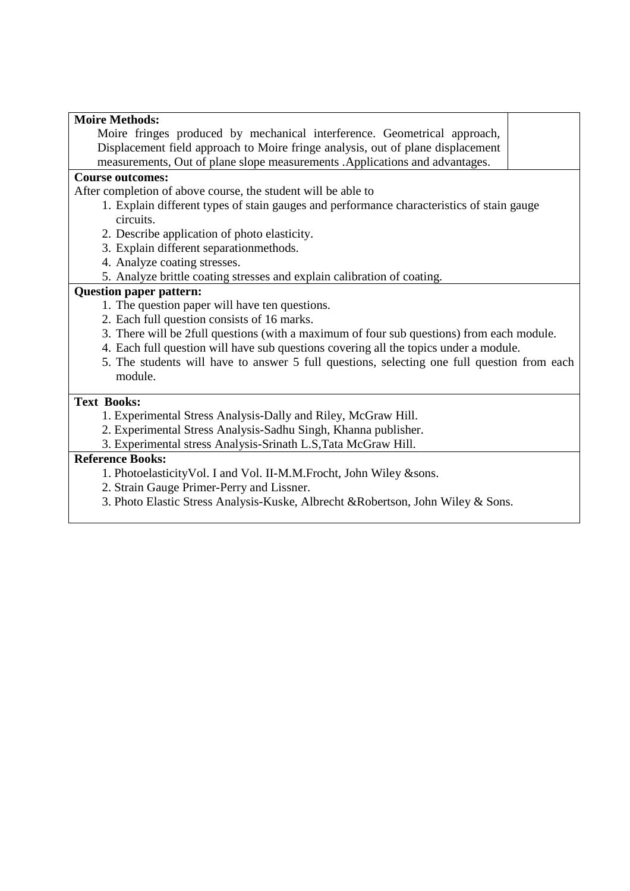| <b>Moire Methods:</b>                                                                       |
|---------------------------------------------------------------------------------------------|
| Moire fringes produced by mechanical interference. Geometrical approach,                    |
| Displacement field approach to Moire fringe analysis, out of plane displacement             |
| measurements, Out of plane slope measurements . Applications and advantages.                |
| <b>Course outcomes:</b>                                                                     |
| After completion of above course, the student will be able to                               |
| 1. Explain different types of stain gauges and performance characteristics of stain gauge   |
| circuits.                                                                                   |
| 2. Describe application of photo elasticity.                                                |
| 3. Explain different separationmethods.                                                     |
| 4. Analyze coating stresses.                                                                |
| 5. Analyze brittle coating stresses and explain calibration of coating.                     |
| <b>Question paper pattern:</b>                                                              |
| 1. The question paper will have ten questions.                                              |
| 2. Each full question consists of 16 marks.                                                 |
| 3. There will be 2full questions (with a maximum of four sub questions) from each module.   |
| 4. Each full question will have sub questions covering all the topics under a module.       |
| 5. The students will have to answer 5 full questions, selecting one full question from each |
| module.                                                                                     |
|                                                                                             |
| <b>Text Books:</b><br><sup>1</sup> Experimental Stress Analysis Dally and Piley McCrow Hill |
|                                                                                             |

- 1. Experimental Stress Analysis-Dally and Riley, McGraw Hill.
- 2. Experimental Stress Analysis-Sadhu Singh, Khanna publisher.
- 3. Experimental stress Analysis-Srinath L.S,Tata McGraw Hill.

## **Reference Books:**

- 1. PhotoelasticityVol. I and Vol. II-M.M.Frocht, John Wiley &sons.
- 2. Strain Gauge Primer-Perry and Lissner.
- 3. Photo Elastic Stress Analysis-Kuske, Albrecht &Robertson, John Wiley & Sons.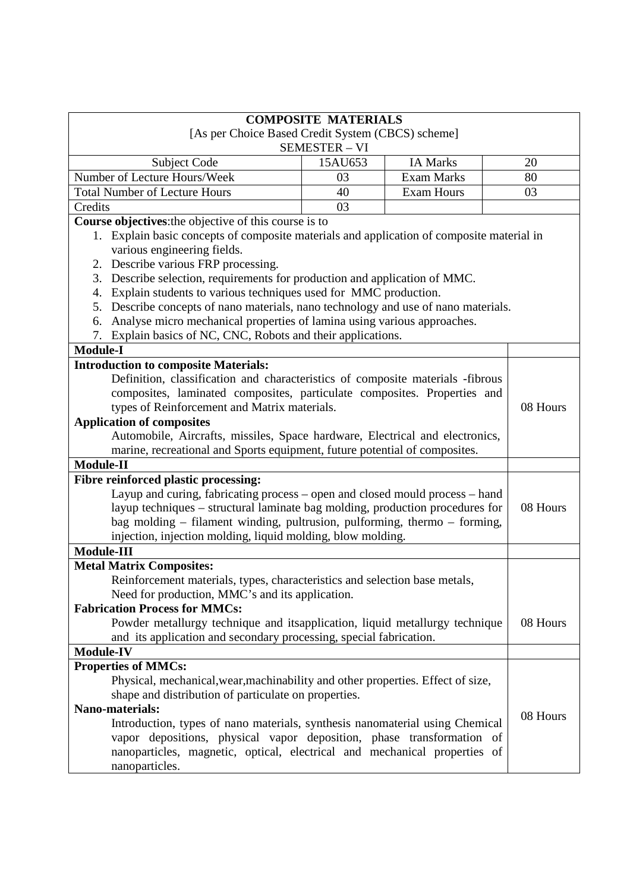| <b>COMPOSITE MATERIALS</b>                                                                |                                                             |                   |          |
|-------------------------------------------------------------------------------------------|-------------------------------------------------------------|-------------------|----------|
| [As per Choice Based Credit System (CBCS) scheme]                                         |                                                             |                   |          |
|                                                                                           | <b>SEMESTER - VI</b>                                        |                   |          |
| Subject Code                                                                              | 15AU653                                                     | <b>IA Marks</b>   | 20       |
| Number of Lecture Hours/Week                                                              | 03                                                          | <b>Exam Marks</b> | 80       |
| <b>Total Number of Lecture Hours</b>                                                      | 40                                                          | <b>Exam Hours</b> | 03       |
| Credits                                                                                   | 03                                                          |                   |          |
| Course objectives: the objective of this course is to                                     |                                                             |                   |          |
| 1. Explain basic concepts of composite materials and application of composite material in |                                                             |                   |          |
| various engineering fields.                                                               |                                                             |                   |          |
| 2. Describe various FRP processing.                                                       |                                                             |                   |          |
| Describe selection, requirements for production and application of MMC.<br>3.             |                                                             |                   |          |
| Explain students to various techniques used for MMC production.<br>4.                     |                                                             |                   |          |
| Describe concepts of nano materials, nano technology and use of nano materials.<br>5.     |                                                             |                   |          |
| Analyse micro mechanical properties of lamina using various approaches.<br>6.             |                                                             |                   |          |
| Explain basics of NC, CNC, Robots and their applications.<br>7.                           |                                                             |                   |          |
| <b>Module-I</b>                                                                           |                                                             |                   |          |
| <b>Introduction to composite Materials:</b>                                               |                                                             |                   |          |
| Definition, classification and characteristics of composite materials -fibrous            |                                                             |                   |          |
| composites, laminated composites, particulate composites. Properties and                  |                                                             |                   |          |
| types of Reinforcement and Matrix materials.                                              |                                                             |                   | 08 Hours |
| <b>Application of composites</b>                                                          |                                                             |                   |          |
| Automobile, Aircrafts, missiles, Space hardware, Electrical and electronics,              |                                                             |                   |          |
| marine, recreational and Sports equipment, future potential of composites.                |                                                             |                   |          |
| Module-II                                                                                 |                                                             |                   |          |
| Fibre reinforced plastic processing:                                                      |                                                             |                   |          |
| Layup and curing, fabricating process – open and closed mould process – hand              |                                                             |                   |          |
| layup techniques – structural laminate bag molding, production procedures for             |                                                             |                   | 08 Hours |
| bag molding – filament winding, pultrusion, pulforming, thermo – forming,                 |                                                             |                   |          |
|                                                                                           | injection, injection molding, liquid molding, blow molding. |                   |          |
| <b>Module-III</b>                                                                         |                                                             |                   |          |
| <b>Metal Matrix Composites:</b>                                                           |                                                             |                   |          |
| Reinforcement materials, types, characteristics and selection base metals,                |                                                             |                   |          |
| Need for production, MMC's and its application.                                           |                                                             |                   |          |
| <b>Fabrication Process for MMCs:</b>                                                      |                                                             |                   |          |
| Powder metallurgy technique and itsapplication, liquid metallurgy technique               |                                                             |                   | 08 Hours |
| and its application and secondary processing, special fabrication.                        |                                                             |                   |          |
| <b>Module-IV</b>                                                                          |                                                             |                   |          |
| <b>Properties of MMCs:</b>                                                                |                                                             |                   |          |
| Physical, mechanical, wear, machinability and other properties. Effect of size,           |                                                             |                   |          |
| shape and distribution of particulate on properties.                                      |                                                             |                   |          |
| Nano-materials:                                                                           |                                                             |                   |          |
| Introduction, types of nano materials, synthesis nanomaterial using Chemical              |                                                             |                   | 08 Hours |
| vapor depositions, physical vapor deposition, phase transformation of                     |                                                             |                   |          |
| nanoparticles, magnetic, optical, electrical and mechanical properties of                 |                                                             |                   |          |
| nanoparticles.                                                                            |                                                             |                   |          |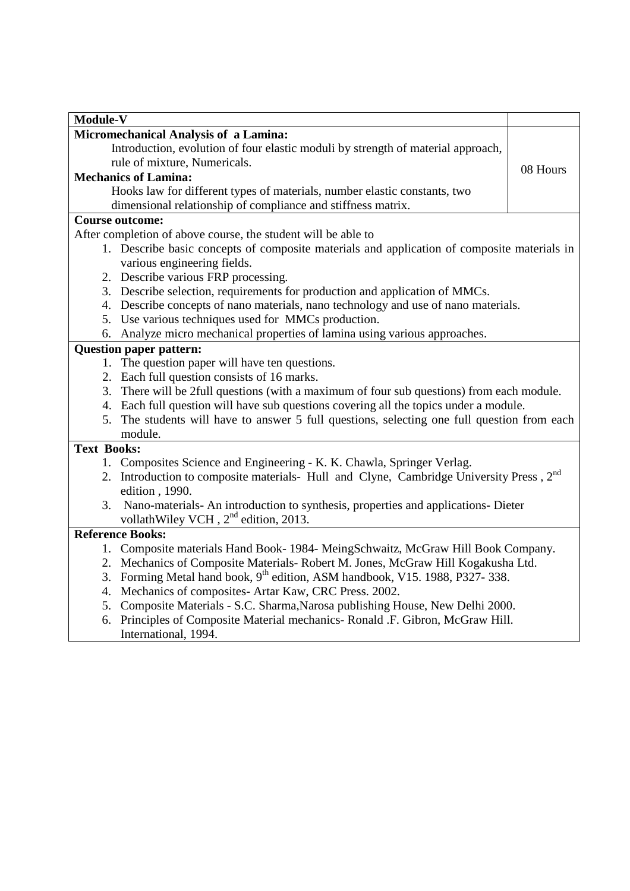| Module-V                       |                                                                                                                       |          |  |  |
|--------------------------------|-----------------------------------------------------------------------------------------------------------------------|----------|--|--|
|                                | Micromechanical Analysis of a Lamina:                                                                                 |          |  |  |
|                                | Introduction, evolution of four elastic moduli by strength of material approach,                                      |          |  |  |
|                                | rule of mixture, Numericals.                                                                                          | 08 Hours |  |  |
|                                | <b>Mechanics of Lamina:</b>                                                                                           |          |  |  |
|                                | Hooks law for different types of materials, number elastic constants, two                                             |          |  |  |
|                                | dimensional relationship of compliance and stiffness matrix.                                                          |          |  |  |
|                                | <b>Course outcome:</b>                                                                                                |          |  |  |
|                                | After completion of above course, the student will be able to                                                         |          |  |  |
|                                | 1. Describe basic concepts of composite materials and application of composite materials in                           |          |  |  |
|                                | various engineering fields.                                                                                           |          |  |  |
|                                | 2. Describe various FRP processing.                                                                                   |          |  |  |
|                                | 3. Describe selection, requirements for production and application of MMCs.                                           |          |  |  |
|                                | 4. Describe concepts of nano materials, nano technology and use of nano materials.                                    |          |  |  |
|                                | 5. Use various techniques used for MMCs production.                                                                   |          |  |  |
|                                | 6. Analyze micro mechanical properties of lamina using various approaches.                                            |          |  |  |
| <b>Question paper pattern:</b> |                                                                                                                       |          |  |  |
|                                | 1. The question paper will have ten questions.                                                                        |          |  |  |
|                                | 2. Each full question consists of 16 marks.                                                                           |          |  |  |
|                                | 3. There will be 2full questions (with a maximum of four sub questions) from each module.                             |          |  |  |
|                                | 4. Each full question will have sub questions covering all the topics under a module.                                 |          |  |  |
|                                | 5. The students will have to answer 5 full questions, selecting one full question from each                           |          |  |  |
|                                | module.                                                                                                               |          |  |  |
| <b>Text Books:</b>             |                                                                                                                       |          |  |  |
|                                | 1. Composites Science and Engineering - K. K. Chawla, Springer Verlag.                                                |          |  |  |
|                                | 2. Introduction to composite materials- Hull and Clyne, Cambridge University Press, 2 <sup>nd</sup><br>edition, 1990. |          |  |  |
|                                | 3. Nano-materials- An introduction to synthesis, properties and applications- Dieter                                  |          |  |  |
|                                | vollath Wiley VCH, 2 <sup>nd</sup> edition, 2013.                                                                     |          |  |  |
|                                | <b>Reference Books:</b>                                                                                               |          |  |  |
|                                | 1. Composite materials Hand Book-1984- MeingSchwaitz, McGraw Hill Book Company.                                       |          |  |  |
|                                | 2. Mechanics of Composite Materials-Robert M. Jones, McGraw Hill Kogakusha Ltd.                                       |          |  |  |
|                                | 3. Forming Metal hand book, 9 <sup>th</sup> edition, ASM handbook, V15. 1988, P327-338.                               |          |  |  |
|                                | 4. Mechanics of composites-Artar Kaw, CRC Press. 2002.                                                                |          |  |  |
|                                | 5. Composite Materials - S.C. Sharma, Narosa publishing House, New Delhi 2000.                                        |          |  |  |
|                                | 6. Principles of Composite Material mechanics- Ronald .F. Gibron, McGraw Hill.                                        |          |  |  |
|                                | International, 1994.                                                                                                  |          |  |  |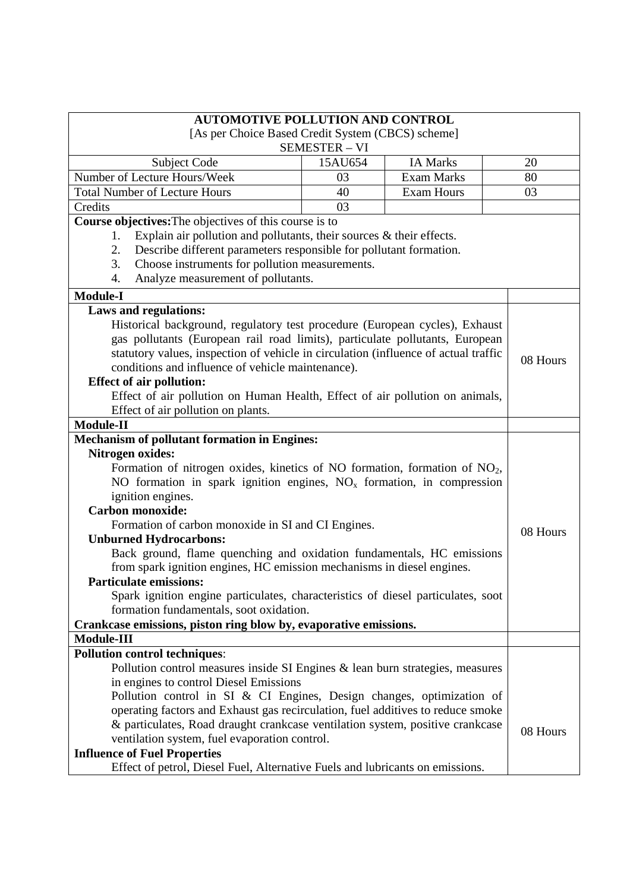| <b>AUTOMOTIVE POLLUTION AND CONTROL</b>                                                                           |                                                   |                   |          |  |
|-------------------------------------------------------------------------------------------------------------------|---------------------------------------------------|-------------------|----------|--|
|                                                                                                                   | [As per Choice Based Credit System (CBCS) scheme] |                   |          |  |
|                                                                                                                   | <b>SEMESTER - VI</b>                              |                   |          |  |
| Subject Code                                                                                                      | 15AU654                                           | <b>IA Marks</b>   | 20       |  |
| Number of Lecture Hours/Week                                                                                      | 03                                                | <b>Exam Marks</b> | 80       |  |
| <b>Total Number of Lecture Hours</b>                                                                              | 40                                                | <b>Exam Hours</b> | 03       |  |
| Credits                                                                                                           | 03                                                |                   |          |  |
| Course objectives: The objectives of this course is to                                                            |                                                   |                   |          |  |
| Explain air pollution and pollutants, their sources $\&$ their effects.<br>1.                                     |                                                   |                   |          |  |
| Describe different parameters responsible for pollutant formation.<br>2.                                          |                                                   |                   |          |  |
| Choose instruments for pollution measurements.<br>3.                                                              |                                                   |                   |          |  |
| Analyze measurement of pollutants.<br>4.                                                                          |                                                   |                   |          |  |
| <b>Module-I</b>                                                                                                   |                                                   |                   |          |  |
| Laws and regulations:                                                                                             |                                                   |                   |          |  |
| Historical background, regulatory test procedure (European cycles), Exhaust                                       |                                                   |                   |          |  |
| gas pollutants (European rail road limits), particulate pollutants, European                                      |                                                   |                   |          |  |
| statutory values, inspection of vehicle in circulation (influence of actual traffic                               |                                                   |                   | 08 Hours |  |
| conditions and influence of vehicle maintenance).                                                                 |                                                   |                   |          |  |
| <b>Effect of air pollution:</b>                                                                                   |                                                   |                   |          |  |
| Effect of air pollution on Human Health, Effect of air pollution on animals,                                      |                                                   |                   |          |  |
| Effect of air pollution on plants.                                                                                |                                                   |                   |          |  |
| <b>Module-II</b>                                                                                                  |                                                   |                   |          |  |
| <b>Mechanism of pollutant formation in Engines:</b>                                                               |                                                   |                   |          |  |
| <b>Nitrogen oxides:</b>                                                                                           |                                                   |                   |          |  |
| Formation of nitrogen oxides, kinetics of NO formation, formation of $NO2$ ,                                      |                                                   |                   |          |  |
| NO formation in spark ignition engines, $NOx$ formation, in compression                                           |                                                   |                   |          |  |
| ignition engines.                                                                                                 |                                                   |                   |          |  |
| Carbon monoxide:                                                                                                  |                                                   |                   |          |  |
| Formation of carbon monoxide in SI and CI Engines.                                                                |                                                   |                   | 08 Hours |  |
| <b>Unburned Hydrocarbons:</b>                                                                                     |                                                   |                   |          |  |
| Back ground, flame quenching and oxidation fundamentals, HC emissions                                             |                                                   |                   |          |  |
| from spark ignition engines, HC emission mechanisms in diesel engines.                                            |                                                   |                   |          |  |
| <b>Particulate emissions:</b><br>Spark ignition engine particulates, characteristics of diesel particulates, soot |                                                   |                   |          |  |
| formation fundamentals, soot oxidation.                                                                           |                                                   |                   |          |  |
| Crankcase emissions, piston ring blow by, evaporative emissions.                                                  |                                                   |                   |          |  |
| Module-III                                                                                                        |                                                   |                   |          |  |
| <b>Pollution control techniques:</b>                                                                              |                                                   |                   |          |  |
| Pollution control measures inside SI Engines & lean burn strategies, measures                                     |                                                   |                   |          |  |
| in engines to control Diesel Emissions                                                                            |                                                   |                   |          |  |
| Pollution control in SI & CI Engines, Design changes, optimization of                                             |                                                   |                   |          |  |
| operating factors and Exhaust gas recirculation, fuel additives to reduce smoke                                   |                                                   |                   |          |  |
| & particulates, Road draught crankcase ventilation system, positive crankcase                                     |                                                   |                   |          |  |
| ventilation system, fuel evaporation control.                                                                     |                                                   |                   | 08 Hours |  |
| <b>Influence of Fuel Properties</b>                                                                               |                                                   |                   |          |  |
| Effect of petrol, Diesel Fuel, Alternative Fuels and lubricants on emissions.                                     |                                                   |                   |          |  |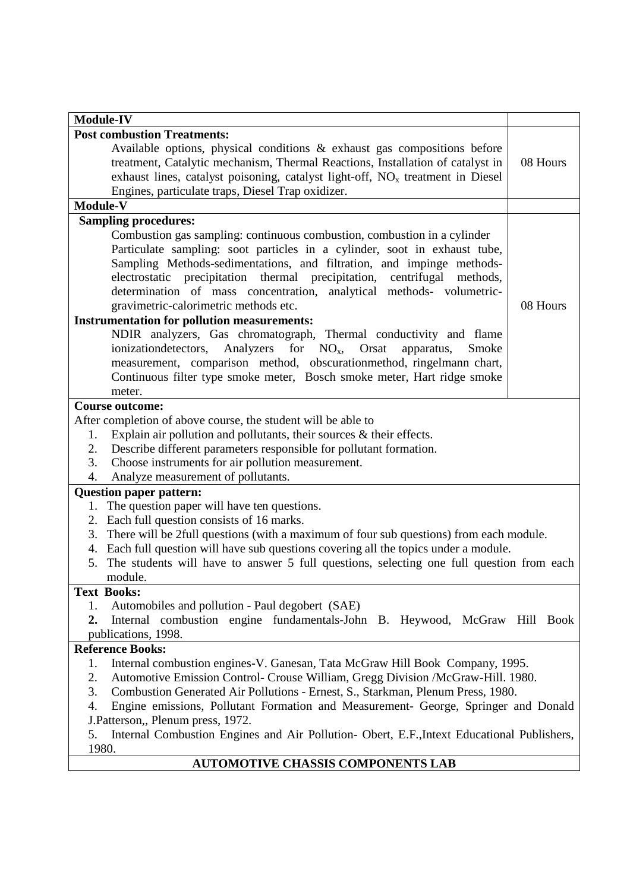| <b>Module-IV</b>                                                                                 |          |  |  |
|--------------------------------------------------------------------------------------------------|----------|--|--|
| <b>Post combustion Treatments:</b>                                                               |          |  |  |
| Available options, physical conditions & exhaust gas compositions before                         |          |  |  |
| treatment, Catalytic mechanism, Thermal Reactions, Installation of catalyst in                   | 08 Hours |  |  |
| exhaust lines, catalyst poisoning, catalyst light-off, $NOx$ treatment in Diesel                 |          |  |  |
| Engines, particulate traps, Diesel Trap oxidizer.                                                |          |  |  |
| Module-V                                                                                         |          |  |  |
| <b>Sampling procedures:</b>                                                                      |          |  |  |
| Combustion gas sampling: continuous combustion, combustion in a cylinder                         |          |  |  |
| Particulate sampling: soot particles in a cylinder, soot in exhaust tube,                        |          |  |  |
| Sampling Methods-sedimentations, and filtration, and impinge methods-                            |          |  |  |
| electrostatic precipitation thermal precipitation, centrifugal methods,                          |          |  |  |
| determination of mass concentration, analytical methods- volumetric-                             |          |  |  |
| gravimetric-calorimetric methods etc.                                                            | 08 Hours |  |  |
| <b>Instrumentation for pollution measurements:</b>                                               |          |  |  |
| NDIR analyzers, Gas chromatograph, Thermal conductivity and flame                                |          |  |  |
| ionization detectors,<br>Analyzers for $NO_x$ , Orsat<br>apparatus,<br>Smoke                     |          |  |  |
| measurement, comparison method, obscurationmethod, ringelmann chart,                             |          |  |  |
| Continuous filter type smoke meter, Bosch smoke meter, Hart ridge smoke                          |          |  |  |
| meter.                                                                                           |          |  |  |
| <b>Course outcome:</b>                                                                           |          |  |  |
| After completion of above course, the student will be able to                                    |          |  |  |
| Explain air pollution and pollutants, their sources $\&$ their effects.<br>1.                    |          |  |  |
| Describe different parameters responsible for pollutant formation.<br>2.                         |          |  |  |
| 3.<br>Choose instruments for air pollution measurement.                                          |          |  |  |
| Analyze measurement of pollutants.<br>4.                                                         |          |  |  |
| <b>Question paper pattern:</b>                                                                   |          |  |  |
| The question paper will have ten questions.<br>1.                                                |          |  |  |
| 2. Each full question consists of 16 marks.                                                      |          |  |  |
| There will be 2full questions (with a maximum of four sub questions) from each module.<br>3.     |          |  |  |
| 4. Each full question will have sub questions covering all the topics under a module.            |          |  |  |
| The students will have to answer 5 full questions, selecting one full question from each<br>5.   |          |  |  |
| module.                                                                                          |          |  |  |
| <b>Text Books:</b>                                                                               |          |  |  |
| Automobiles and pollution - Paul degobert (SAE)<br>1.                                            |          |  |  |
| Internal combustion engine fundamentals-John B. Heywood, McGraw Hill Book<br>2.                  |          |  |  |
| publications, 1998.                                                                              |          |  |  |
| <b>Reference Books:</b>                                                                          |          |  |  |
| Internal combustion engines-V. Ganesan, Tata McGraw Hill Book Company, 1995.<br>1.               |          |  |  |
| Automotive Emission Control- Crouse William, Gregg Division /McGraw-Hill. 1980.<br>2.            |          |  |  |
| 3.<br>Combustion Generated Air Pollutions - Ernest, S., Starkman, Plenum Press, 1980.            |          |  |  |
| Engine emissions, Pollutant Formation and Measurement- George, Springer and Donald<br>4.         |          |  |  |
| J.Patterson,, Plenum press, 1972.                                                                |          |  |  |
| Internal Combustion Engines and Air Pollution- Obert, E.F., Intext Educational Publishers,<br>5. |          |  |  |
| 1980.                                                                                            |          |  |  |
| <b>AUTOMOTIVE CHASSIS COMPONENTS LAB</b>                                                         |          |  |  |

## **AUTOMOTIVE CHASSIS COMPONENTS LAB**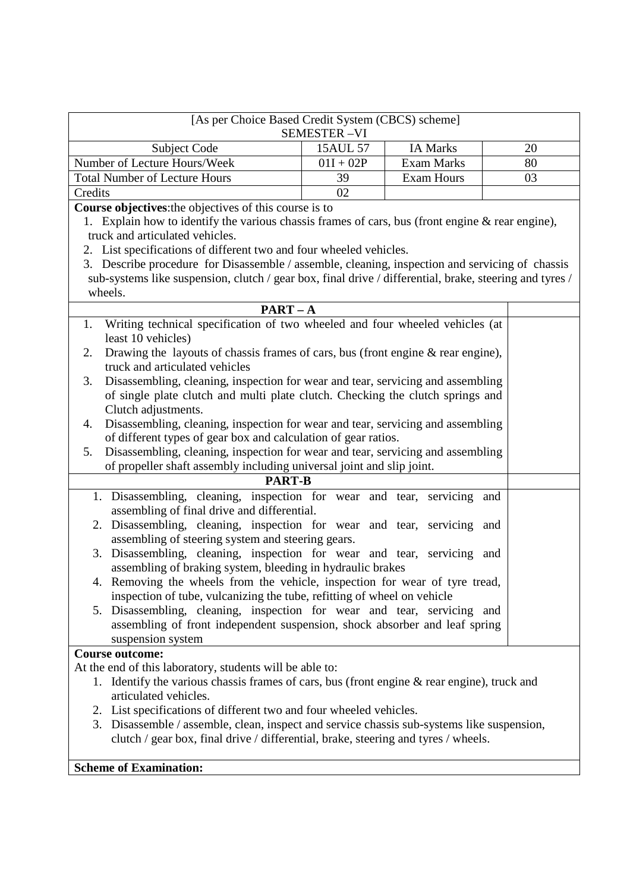| [As per Choice Based Credit System (CBCS) scheme]                                                                                                      |             |                   |    |
|--------------------------------------------------------------------------------------------------------------------------------------------------------|-------------|-------------------|----|
| <b>SEMESTER-VI</b>                                                                                                                                     |             |                   |    |
| <b>Subject Code</b>                                                                                                                                    | 15AUL 57    | <b>IA Marks</b>   | 20 |
| Number of Lecture Hours/Week                                                                                                                           | $01I + 02P$ | <b>Exam Marks</b> | 80 |
| <b>Total Number of Lecture Hours</b>                                                                                                                   | 39          | <b>Exam Hours</b> | 03 |
| Credits                                                                                                                                                | 02          |                   |    |
| Course objectives: the objectives of this course is to                                                                                                 |             |                   |    |
| 1. Explain how to identify the various chassis frames of cars, bus (front engine & rear engine),                                                       |             |                   |    |
| truck and articulated vehicles.                                                                                                                        |             |                   |    |
| 2. List specifications of different two and four wheeled vehicles.                                                                                     |             |                   |    |
| 3. Describe procedure for Disassemble / assemble, cleaning, inspection and servicing of chassis                                                        |             |                   |    |
| sub-systems like suspension, clutch / gear box, final drive / differential, brake, steering and tyres /                                                |             |                   |    |
| wheels.                                                                                                                                                |             |                   |    |
| $PART - A$                                                                                                                                             |             |                   |    |
| Writing technical specification of two wheeled and four wheeled vehicles (at<br>1.                                                                     |             |                   |    |
| least 10 vehicles)                                                                                                                                     |             |                   |    |
| Drawing the layouts of chassis frames of cars, bus (front engine & rear engine),<br>2.                                                                 |             |                   |    |
| truck and articulated vehicles                                                                                                                         |             |                   |    |
| Disassembling, cleaning, inspection for wear and tear, servicing and assembling<br>3.                                                                  |             |                   |    |
| of single plate clutch and multi plate clutch. Checking the clutch springs and                                                                         |             |                   |    |
| Clutch adjustments.                                                                                                                                    |             |                   |    |
| Disassembling, cleaning, inspection for wear and tear, servicing and assembling<br>4.                                                                  |             |                   |    |
| of different types of gear box and calculation of gear ratios.                                                                                         |             |                   |    |
| Disassembling, cleaning, inspection for wear and tear, servicing and assembling<br>5.                                                                  |             |                   |    |
| of propeller shaft assembly including universal joint and slip joint.                                                                                  |             |                   |    |
| <b>PART-B</b>                                                                                                                                          |             |                   |    |
| 1. Disassembling, cleaning, inspection for wear and tear, servicing and                                                                                |             |                   |    |
| assembling of final drive and differential.                                                                                                            |             |                   |    |
| 2. Disassembling, cleaning, inspection for wear and tear, servicing and<br>assembling of steering system and steering gears.                           |             |                   |    |
|                                                                                                                                                        |             |                   |    |
| 3. Disassembling, cleaning, inspection for wear and tear, servicing and                                                                                |             |                   |    |
| assembling of braking system, bleeding in hydraulic brakes                                                                                             |             |                   |    |
| 4. Removing the wheels from the vehicle, inspection for wear of tyre tread,<br>inspection of tube, vulcanizing the tube, refitting of wheel on vehicle |             |                   |    |
| Disassembling, cleaning, inspection for wear and tear, servicing and<br>5.                                                                             |             |                   |    |
| assembling of front independent suspension, shock absorber and leaf spring                                                                             |             |                   |    |
| suspension system                                                                                                                                      |             |                   |    |
| <b>Course outcome:</b>                                                                                                                                 |             |                   |    |
| At the end of this laboratory, students will be able to:                                                                                               |             |                   |    |
| 1. Identify the various chassis frames of cars, bus (front engine & rear engine), truck and                                                            |             |                   |    |
| articulated vehicles.                                                                                                                                  |             |                   |    |
| 2. List specifications of different two and four wheeled vehicles.                                                                                     |             |                   |    |
| 3. Disassemble / assemble, clean, inspect and service chassis sub-systems like suspension,                                                             |             |                   |    |
| clutch / gear box, final drive / differential, brake, steering and tyres / wheels.                                                                     |             |                   |    |
|                                                                                                                                                        |             |                   |    |

# **Scheme of Examination:**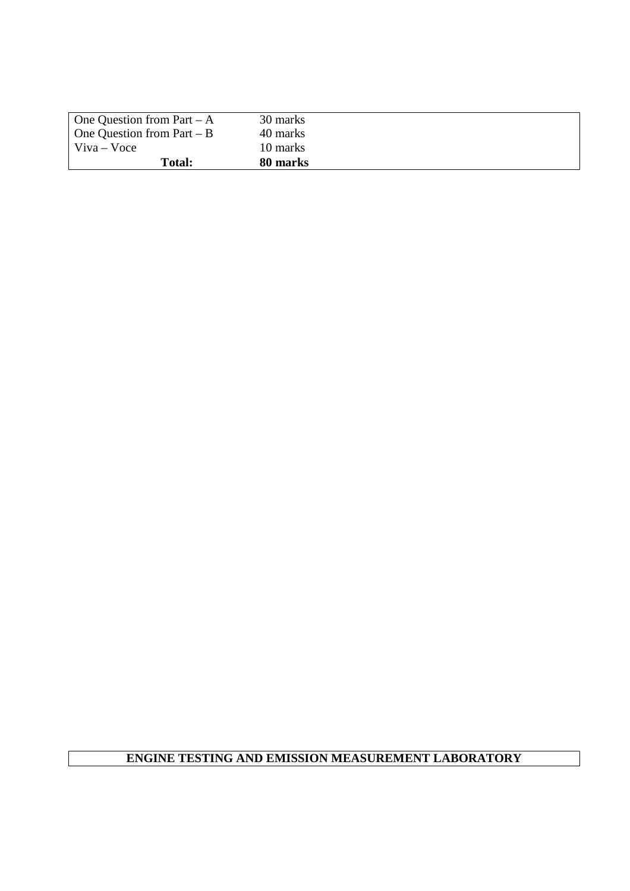| One Question from Part $-A$       | 30 marks |
|-----------------------------------|----------|
| $\Box$ One Question from Part – B | 40 marks |
| $\forall$ iva – Voce              | 10 marks |
| Total:                            | 80 marks |

## **ENGINE TESTING AND EMISSION MEASUREMENT LABORATORY**